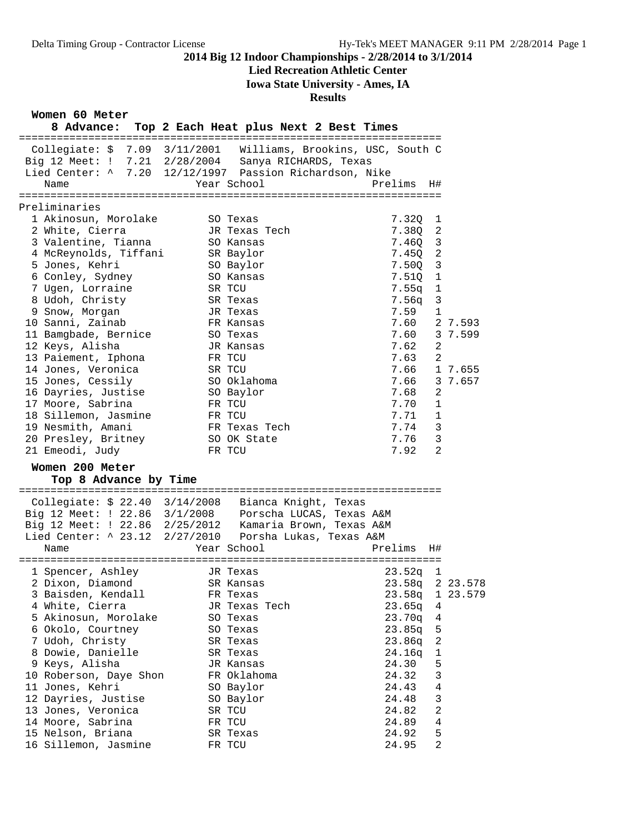## **Lied Recreation Athletic Center**

**Iowa State University - Ames, IA**

## **Results**

**Women 60 Meter**

| 8 Advance: Top 2 Each Heat plus Next 2 Best Times                                                                                                                                |           |               |            |                |                 |
|----------------------------------------------------------------------------------------------------------------------------------------------------------------------------------|-----------|---------------|------------|----------------|-----------------|
| Collegiate: \$ 7.09 3/11/2001 Williams, Brookins, USC, South C<br>Big 12 Meet: ! 7.21 2/28/2004 Sanya RICHARDS, Texas<br>Lied Center: ^ 7.20 12/12/1997 Passion Richardson, Nike |           |               |            |                |                 |
| Name                                                                                                                                                                             |           | Year School   | Prelims    | H#             |                 |
| Preliminaries                                                                                                                                                                    |           |               |            |                |                 |
| 1 Akinosun, Morolake                                                                                                                                                             |           | SO Texas      | 7.320      | 1              |                 |
| 2 White, Cierra                                                                                                                                                                  |           | JR Texas Tech | 7.380      | 2              |                 |
| 3 Valentine, Tianna                                                                                                                                                              |           | SO Kansas     | 7.460      | 3              |                 |
| 4 McReynolds, Tiffani                                                                                                                                                            |           | SR Baylor     | 7.450      | $\overline{2}$ |                 |
| 5 Jones, Kehri                                                                                                                                                                   |           | SO Baylor     | 7.500      | 3              |                 |
| 6 Conley, Sydney                                                                                                                                                                 |           | SO Kansas     | 7.51Q      | 1              |                 |
| 7 Ugen, Lorraine                                                                                                                                                                 |           | SR TCU        | $7.55q$ 1  |                |                 |
| 8 Udoh, Christy                                                                                                                                                                  |           | SR Texas      | 7.56q      | 3              |                 |
| 9 Snow, Morgan                                                                                                                                                                   |           | JR Texas      | 7.59       | 1              |                 |
| 10 Sanni, Zainab                                                                                                                                                                 |           | FR Kansas     | 7.60       |                | 2 7.593         |
| 11 Bamgbade, Bernice                                                                                                                                                             |           | SO Texas      |            |                | 7.60 3 7.599    |
| 12 Keys, Alisha                                                                                                                                                                  |           | JR Kansas     | 7.62       | 2              |                 |
| 13 Paiement, Iphona                                                                                                                                                              |           | FR TCU        | $7.63$ 2   |                |                 |
| 14 Jones, Veronica                                                                                                                                                               |           | SR TCU        |            |                | 7.66 1 7.655    |
| 15 Jones, Cessily                                                                                                                                                                |           | SO Oklahoma   |            |                | 7.66 3 7.657    |
| 16 Dayries, Justise                                                                                                                                                              |           | SO Baylor     | 7.68       | 2              |                 |
| 17 Moore, Sabrina                                                                                                                                                                |           | FR TCU        | 7.70       | 1              |                 |
| 18 Sillemon, Jasmine                                                                                                                                                             |           | FR TCU        | 7.71       | 1              |                 |
| 19 Nesmith, Amani                                                                                                                                                                |           | FR Texas Tech | 7.74 3     |                |                 |
| 20 Presley, Britney                                                                                                                                                              |           | SO OK State   | 7.76       | 3              |                 |
| 21 Emeodi, Judy                                                                                                                                                                  |           | FR TCU        | 7.92       | 2              |                 |
| Women 200 Meter                                                                                                                                                                  |           |               |            |                |                 |
| Top 8 Advance by Time                                                                                                                                                            |           |               |            |                |                 |
| Collegiate: \$ 22.40 3/14/2008 Bianca Knight, Texas                                                                                                                              |           |               |            |                |                 |
| Big 12 Meet: ! 22.86 3/1/2008 Porscha LUCAS, Texas A&M                                                                                                                           |           |               |            |                |                 |
| Big 12 Meet: ! 22.86 2/25/2012 Kamaria Brown, Texas A&M                                                                                                                          |           |               |            |                |                 |
| Lied Center: ^ 23.12 2/27/2010 Porsha Lukas, Texas A&M                                                                                                                           |           |               |            |                |                 |
| Name                                                                                                                                                                             |           | Year School   | Prelims H# |                |                 |
|                                                                                                                                                                                  |           |               |            |                |                 |
| 1 Spencer, Ashley                                                                                                                                                                |           | JR Texas      | $23.52q$ 1 |                |                 |
| 2 Dixon, Diamond                                                                                                                                                                 | SR Kansas |               |            |                | 23.58q 2 23.578 |
| 3 Baisden, Kendall                                                                                                                                                               |           | FR Texas      | 23.58q     |                | 1 23.579        |
| 4 White, Cierra                                                                                                                                                                  |           | JR Texas Tech | 23.65q     | 4              |                 |
| 5 Akinosun, Morolake                                                                                                                                                             |           | SO Texas      | 23.70q     | 4              |                 |
| 6 Okolo, Courtney                                                                                                                                                                |           | SO Texas      | 23.85q     | 5              |                 |
| 7 Udoh, Christy                                                                                                                                                                  |           | SR Texas      | 23.86q     | 2              |                 |
| 8 Dowie, Danielle                                                                                                                                                                |           | SR Texas      | 24.16q     | 1              |                 |
| 9 Keys, Alisha                                                                                                                                                                   |           | JR Kansas     | 24.30      | 5              |                 |
| 10 Roberson, Daye Shon                                                                                                                                                           |           | FR Oklahoma   | 24.32      | 3              |                 |
| 11 Jones, Kehri                                                                                                                                                                  |           | SO Baylor     | 24.43      | 4              |                 |
| 12 Dayries, Justise                                                                                                                                                              |           | SO Baylor     | 24.48      | 3              |                 |
| 13 Jones, Veronica                                                                                                                                                               |           | SR TCU        | 24.82      | 2              |                 |
| 14 Moore, Sabrina                                                                                                                                                                |           | FR TCU        | 24.89      | 4              |                 |
| 15 Nelson, Briana                                                                                                                                                                |           | SR Texas      | 24.92      | 5              |                 |
| 16 Sillemon, Jasmine                                                                                                                                                             |           | FR TCU        | 24.95      | $\overline{2}$ |                 |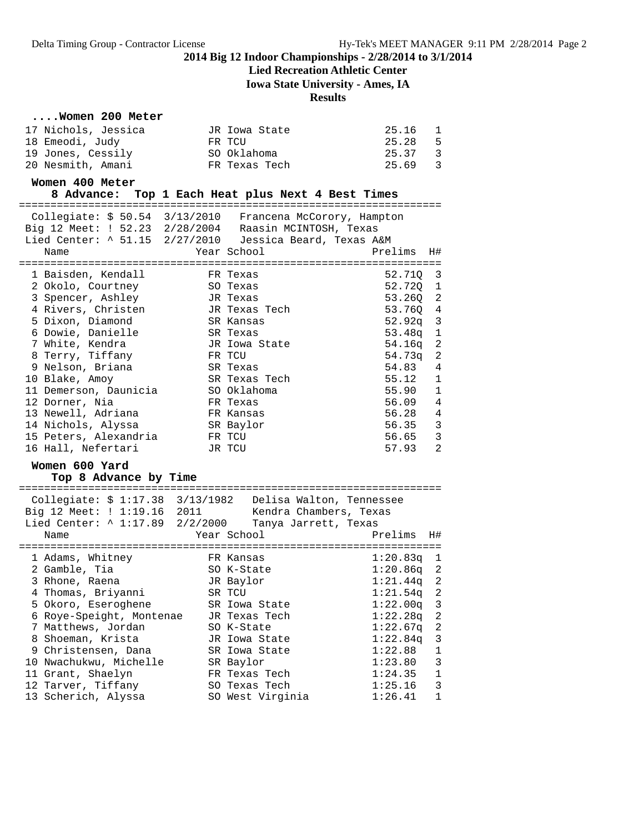**Lied Recreation Athletic Center**

**Iowa State University - Ames, IA**

## **Results**

# **....Women 200 Meter**

| JR Iowa State | 1<br>25.16                         |  |
|---------------|------------------------------------|--|
| FR TCU        | 25.28<br>- 5                       |  |
| SO Oklahoma   | 25.37<br>$\overline{\phantom{a}3}$ |  |
| FR Texas Tech | 25.69<br>$\overline{\mathbf{3}}$   |  |
|               |                                    |  |

#### **Women 400 Meter**

**8 Advance: Top 1 Each Heat plus Next 4 Best Times**

|                                         |           | Collegiate: \$ 50.54 3/13/2010 Francena McCorory, Hampton<br>Big 12 Meet: ! 52.23 2/28/2004 Raasin MCINTOSH, Texas<br>Lied Center: ^ 51.15 2/27/2010 Jessica Beard, Texas A&M |          |                |
|-----------------------------------------|-----------|-------------------------------------------------------------------------------------------------------------------------------------------------------------------------------|----------|----------------|
| Name                                    |           | Year School <b>Shoul</b> Province a state of the Sear School                                                                                                                  | Prelims  | H#             |
| 1 Baisden, Kendall                      | FR Texas  |                                                                                                                                                                               | 52.710 3 |                |
| 2 Okolo, Courtney                       | SO Texas  |                                                                                                                                                                               | 52.720 1 |                |
| 3 Spencer, Ashley JR Texas              |           |                                                                                                                                                                               | 53.26Q 2 |                |
| 4 Rivers, Christen                      |           | JR Texas Tech                                                                                                                                                                 | 53.76Q 4 |                |
| 5 Dixon, Diamond                        | SR Kansas |                                                                                                                                                                               | 52.92q 3 |                |
| 6 Dowie, Danielle                       | SR Texas  |                                                                                                                                                                               | 53.48q 1 |                |
| 7 White, Kendra                         |           | JR Iowa State                                                                                                                                                                 | 54.16q 2 |                |
| 8 Terry, Tiffany                        | FR TCU    |                                                                                                                                                                               | 54.73a   | 2              |
| 9 Nelson, Briana                        | SR Texas  |                                                                                                                                                                               | 54.83    | 4              |
| 10 Blake, Amoy                          |           | SR Texas Tech                                                                                                                                                                 | 55.12    | $\mathbf{1}$   |
| 11 Demerson, Daunicia 600 SO Oklahoma   |           |                                                                                                                                                                               | 55.90 1  |                |
| 12 Dorner, Nia                          | FR Texas  |                                                                                                                                                                               | 56.09    | $\overline{4}$ |
| 13 Newell, Adriana                      | FR Kansas |                                                                                                                                                                               | 56.28 4  |                |
| 14 Nichols, Alyssa                      |           | SR Baylor                                                                                                                                                                     | 56.35 3  |                |
| 15 Peters, Alexandria                   | FR TCU    |                                                                                                                                                                               | 56.65    | $\mathbf{3}$   |
| 16 Hall, Nefertari                      |           | JR TCU                                                                                                                                                                        | 57.93    | 2              |
| Women 600 Yard<br>Top 8 Advance by Time |           |                                                                                                                                                                               |          |                |

| Collegiate: $$1:17.38$ $3/13/1982$ Delisa Walton, Tennessee<br>Big 12 Meet: ! 1:19.16 2011<br>Lied Center: ^ 1:17.89 2/2/2000 Tanya Jarrett, Texas | Kendra Chambers, Texas |                                        |
|----------------------------------------------------------------------------------------------------------------------------------------------------|------------------------|----------------------------------------|
| Name                                                                                                                                               | Year School            | Prelims<br>H#                          |
|                                                                                                                                                    |                        |                                        |
| 1 Adams, Whitney                                                                                                                                   | FR Kansas              | 1:20.83q<br>$\overline{\phantom{0}}$   |
| 2 Gamble, Tia                                                                                                                                      | SO K-State             | $1:20.86q$ 2                           |
| 3 Rhone, Raena                                                                                                                                     | JR Baylor              | $1:21.44q$ 2                           |
| 4 Thomas, Briyanni                                                                                                                                 | SR TCU                 | $1:21.54q$ 2                           |
| 5 Okoro, Eseroghene                                                                                                                                | SR Iowa State          | $1:22.00q$ 3                           |
| 6 Roye-Speight, Montenae                                                                                                                           | JR Texas Tech          | $\overline{2}$<br>$1:22.28$ q          |
| 7 Matthews, Jordan                                                                                                                                 | SO K-State             | - 2<br>$1:22.67$ q                     |
| 8 Shoeman, Krista                                                                                                                                  | JR Iowa State          | $\overline{\mathbf{3}}$<br>$1:22.84$ q |
| 9 Christensen, Dana                                                                                                                                | SR Iowa State          | 1:22.88<br>$\mathbf{1}$                |
| 10 Nwachukwu, Michelle                                                                                                                             | SR Baylor              | 3<br>1:23.80                           |
| 11 Grant, Shaelyn                                                                                                                                  | FR Texas Tech          | $\mathbf{1}$<br>1:24.35                |
| 12 Tarver, Tiffany                                                                                                                                 | SO Texas Tech          | 3<br>1:25.16                           |
| 13 Scherich, Alyssa                                                                                                                                | SO West Virginia       | 1:26.41<br>1                           |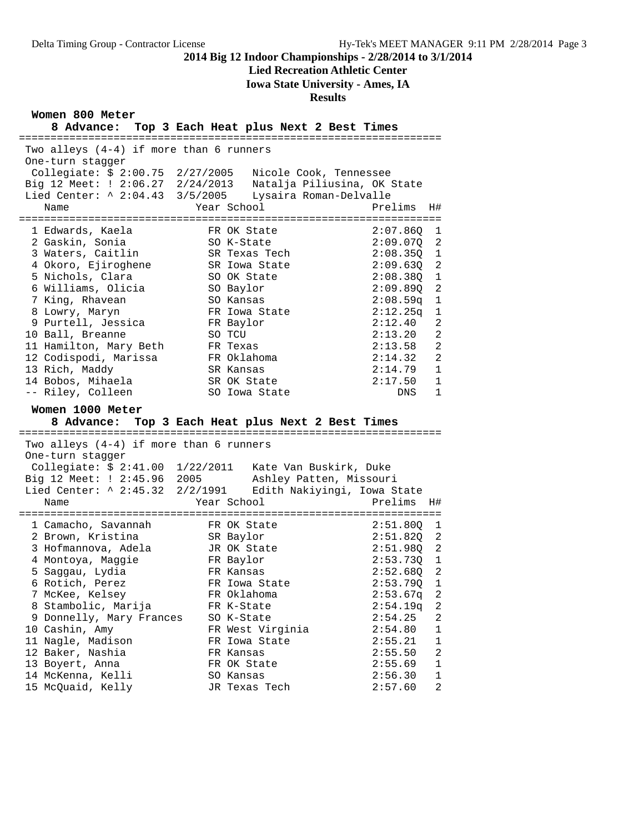**Lied Recreation Athletic Center**

**Iowa State University - Ames, IA**

## **Results**

**Women 800 Meter**

| 8 Advance: Top 3 Each Heat plus Next 2 Best Times<br>===========      | :==================================== |                                           |
|-----------------------------------------------------------------------|---------------------------------------|-------------------------------------------|
| Two alleys $(4-4)$ if more than 6 runners<br>One-turn stagger         |                                       |                                           |
| Collegiate: \$ 2:00.75  2/27/2005  Nicole Cook, Tennessee             |                                       |                                           |
| Big 12 Meet: ! 2:06.27 2/24/2013 Natalja Piliusina, OK State          |                                       |                                           |
| Lied Center: ^ 2:04.43 3/5/2005<br>Name                               | Lysaira Roman-Delvalle<br>Year School | Prelims<br>H#                             |
|                                                                       |                                       |                                           |
| 1 Edwards, Kaela                                                      | FR OK State                           | 2:07.860<br>1                             |
| 2 Gaskin, Sonia                                                       | SO K-State                            | 2:09.07Q<br>2                             |
| 3 Waters, Caitlin                                                     | SR Texas Tech                         | $\mathbf{1}$<br>2:08.350                  |
| 4 Okoro, Ejiroghene                                                   | SR Iowa State                         | 2<br>2:09.630                             |
| 5 Nichols, Clara                                                      | SO OK State                           | 1<br>2:08.380                             |
| 6 Williams, Olicia<br>7 King, Rhavean                                 | SO Baylor<br>SO Kansas                | 2<br>2:09.890<br>$\mathbf{1}$<br>2:08.59q |
| 8 Lowry, Maryn                                                        | FR Iowa State                         | 2:12.25q<br>$\mathbf 1$                   |
| 9 Purtell, Jessica                                                    | FR Baylor                             | $\overline{a}$<br>2:12.40                 |
| 10 Ball, Breanne                                                      | SO TCU                                | $\overline{a}$<br>2:13.20                 |
| 11 Hamilton, Mary Beth                                                | FR Texas                              | 2<br>2:13.58                              |
| 12 Codispodi, Marissa                                                 | FR Oklahoma                           | $\overline{a}$<br>2:14.32                 |
| 13 Rich, Maddy                                                        | SR Kansas                             | $\mathbf{1}$<br>2:14.79                   |
| 14 Bobos, Mihaela                                                     | SR OK State                           | 2:17.50<br>$\mathbf 1$                    |
| -- Riley, Colleen                                                     | SO Iowa State                         | $\mathbf{1}$<br>DNS                       |
|                                                                       |                                       |                                           |
| Women 1000 Meter<br>8 Advance: Top 3 Each Heat plus Next 2 Best Times |                                       |                                           |
| Two alleys (4-4) if more than 6 runners                               |                                       |                                           |
| One-turn stagger                                                      |                                       |                                           |
| Collegiate: \$ 2:41.00 1/22/2011 Kate Van Buskirk, Duke               |                                       |                                           |
| Big 12 Meet: ! 2:45.96 2005                                           | Ashley Patten, Missouri               |                                           |
| Lied Center: ^ 2:45.32  2/2/1991     Edith Nakiyingi, Iowa State      |                                       |                                           |
| Name                                                                  | Year School                           | Prelims<br>H#                             |
| 1 Camacho, Savannah                                                   | FR OK State                           | 2:51.80Q<br>1                             |
| 2 Brown, Kristina                                                     | SR Baylor                             | 2<br>2:51.820                             |
| 3 Hofmannova, Adela                                                   | JR OK State                           | 2<br>2:51.98Q                             |
| 4 Montoya, Maggie                                                     | FR Baylor                             | $2:53.73Q$ 1                              |
| 5 Saggau, Lydia                                                       | FR Kansas                             | 2<br>2:52.68Q                             |
| 6 Rotich, Perez                                                       | FR Iowa State                         | 2:53.79Q<br>1                             |
| 7 McKee, Kelsey                                                       | FR Oklahoma                           | 2:53.67q<br>2                             |
| 8 Stambolic, Marija                                                   | FR K-State                            | 2:54.19q<br>2                             |
| 9 Donnelly, Mary Frances                                              | SO K-State                            | 2<br>2:54.25<br>1                         |
| 10 Cashin, Amy<br>11 Nagle, Madison                                   | FR West Virginia<br>FR Iowa State     | 2:54.80<br>2:55.21<br>1                   |
| 12 Baker, Nashia                                                      | FR Kansas                             | 2<br>2:55.50                              |
| 13 Boyert, Anna                                                       | FR OK State                           | $\mathbf 1$<br>2:55.69                    |
| 14 McKenna, Kelli<br>15 McQuaid, Kelly                                | SO Kansas<br>JR Texas Tech            | $\mathbf 1$<br>2:56.30<br>2:57.60<br>2    |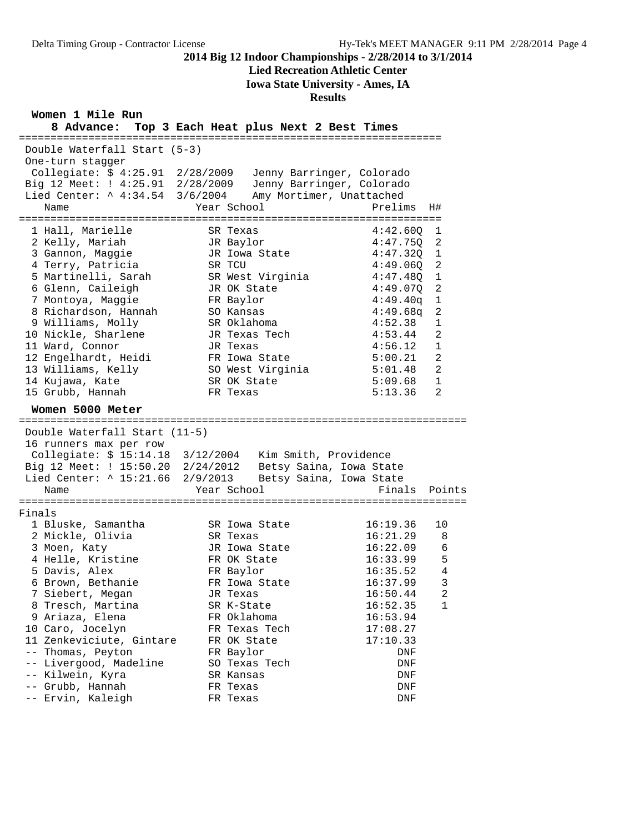**Lied Recreation Athletic Center**

**Iowa State University - Ames, IA**

## **Results**

**Women 1 Mile Run**

| 8 Advance:                                                                           | Top 3 Each Heat plus Next 2 Best Times                 |                                           |
|--------------------------------------------------------------------------------------|--------------------------------------------------------|-------------------------------------------|
| Double Waterfall Start (5-3)<br>One-turn stagger<br>Collegiate: \$ 4:25.91 2/28/2009 |                                                        |                                           |
| Big 12 Meet: ! 4:25.91 2/28/2009                                                     | Jenny Barringer, Colorado<br>Jenny Barringer, Colorado |                                           |
| Lied Center: ^ 4:34.54 3/6/2004                                                      | Amy Mortimer, Unattached                               |                                           |
| Name                                                                                 | Year School                                            | Prelims<br>H#                             |
|                                                                                      |                                                        |                                           |
| 1 Hall, Marielle                                                                     | SR Texas                                               | 4:42.60Q<br>1                             |
| 2 Kelly, Mariah                                                                      | JR Baylor                                              | 4:47.75Q<br>2                             |
| 3 Gannon, Maggie                                                                     | JR Iowa State                                          | 4:47.320<br>1                             |
| 4 Terry, Patricia                                                                    | SR TCU                                                 | 4:49.060<br>2                             |
| 5 Martinelli, Sarah                                                                  | SR West Virginia                                       | 4:47.48Q<br>1                             |
| 6 Glenn, Caileigh                                                                    | JR OK State                                            | $\overline{2}$<br>4:49.070                |
| 7 Montoya, Maggie                                                                    | FR Baylor                                              | 4:49.40q<br>$\mathbf 1$                   |
| 8 Richardson, Hannah                                                                 | SO Kansas                                              | 4:49.68q<br>2                             |
| 9 Williams, Molly                                                                    | SR Oklahoma                                            | 4:52.38<br>1                              |
| 10 Nickle, Sharlene                                                                  | JR Texas Tech                                          | 4:53.44<br>2                              |
| 11 Ward, Connor                                                                      | JR Texas                                               | 4:56.12<br>$\mathbf{1}$<br>$\overline{a}$ |
| 12 Engelhardt, Heidi<br>13 Williams, Kelly                                           | FR Iowa State<br>SO West Virginia                      | 5:00.21<br>$\overline{2}$<br>5:01.48      |
| 14 Kujawa, Kate                                                                      | SR OK State                                            | 5:09.68<br>$\mathbf{1}$                   |
| 15 Grubb, Hannah                                                                     | FR Texas                                               | 2<br>5:13.36                              |
|                                                                                      |                                                        |                                           |
| Women 5000 Meter                                                                     |                                                        |                                           |
| Double Waterfall Start (11-5)                                                        |                                                        |                                           |
| 16 runners max per row                                                               |                                                        |                                           |
|                                                                                      | Kim Smith, Providence                                  |                                           |
| Big 12 Meet: ! 15:50.20 2/24/2012                                                    | Betsy Saina, Iowa State                                |                                           |
| Lied Center: ^ 15:21.66 2/9/2013                                                     | Betsy Saina, Iowa State                                |                                           |
| Name                                                                                 | Year School                                            | Finals<br>Points                          |
|                                                                                      |                                                        |                                           |
| Finals                                                                               |                                                        |                                           |
| 1 Bluske, Samantha                                                                   | SR Iowa State                                          | 16:19.36<br>10                            |
| 2 Mickle, Olivia                                                                     | SR Texas                                               | 16:21.29<br>8                             |
| 3 Moen, Katy                                                                         | JR Iowa State                                          | 16:22.09<br>6                             |
| 4 Helle, Kristine                                                                    | FR OK State                                            | 5<br>16:33.99                             |
| 5 Davis, Alex                                                                        | FR Baylor                                              | 4<br>16:35.52                             |
| 6 Brown, Bethanie                                                                    | FR Iowa State                                          | 3<br>16:37.99                             |
| 7 Siebert, Megan                                                                     | JR Texas                                               | 16:50.44<br>2                             |
| 8 Tresch, Martina                                                                    | SR K-State                                             | 16:52.35<br>1                             |
| 9 Ariaza, Elena                                                                      | FR Oklahoma                                            | 16:53.94                                  |
| 10 Caro, Jocelyn                                                                     | FR Texas Tech                                          | 17:08.27                                  |
| 11 Zenkeviciute, Gintare                                                             | FR OK State                                            | 17:10.33                                  |
| -- Thomas, Peyton                                                                    | FR Baylor                                              | DNF                                       |
| -- Livergood, Madeline                                                               | SO Texas Tech                                          | DNF                                       |
| -- Kilwein, Kyra                                                                     | SR Kansas                                              | DNF                                       |
| -- Grubb, Hannah<br>-- Ervin, Kaleigh                                                | FR Texas                                               | DNF                                       |
|                                                                                      | FR Texas                                               | DNF                                       |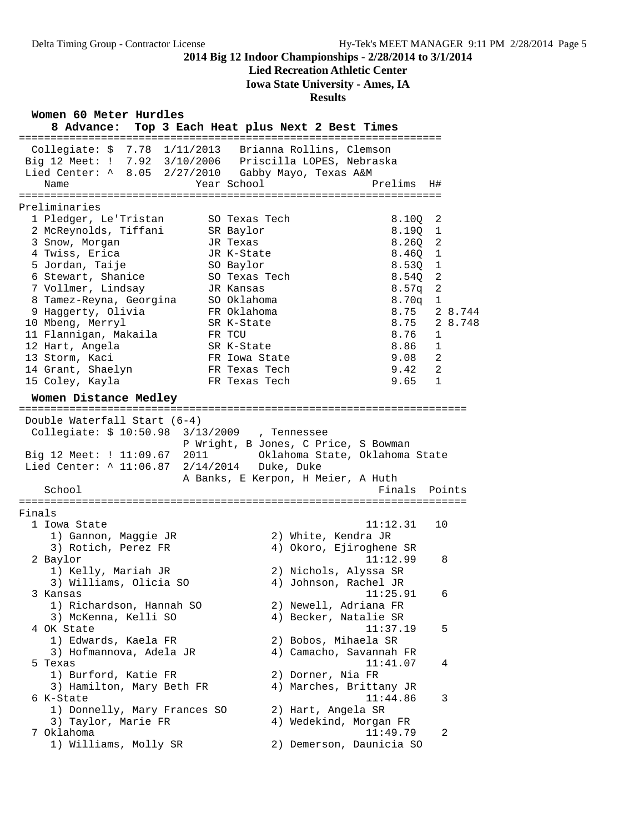# **Lied Recreation Athletic Center**

**Iowa State University - Ames, IA**

## **Results**

**Women 60 Meter Hurdles**

| MOTTEIT ON WELET HUTATER<br>8 Advance:                                                                                                                                                 | Top 3 Each Heat plus Next 2 Best Times                                                         |
|----------------------------------------------------------------------------------------------------------------------------------------------------------------------------------------|------------------------------------------------------------------------------------------------|
| ========================<br>=============<br>Collegiate: $$7.78$<br>1/11/2013<br>Big 12 Meet: ! 7.92 3/10/2006 Priscilla LOPES, Nebraska<br>Lied Center: ^ 8.05<br>Year School<br>Name | ==============<br>Brianna Rollins, Clemson<br>2/27/2010 Gabby Mayo, Texas A&M<br>Prelims<br>H# |
|                                                                                                                                                                                        |                                                                                                |
| Preliminaries                                                                                                                                                                          |                                                                                                |
| 1 Pledger, Le'Tristan<br>SO Texas Tech                                                                                                                                                 | 8.10Q<br>2                                                                                     |
| 2 McReynolds, Tiffani<br>SR Baylor                                                                                                                                                     | 8.190<br>1                                                                                     |
| 3 Snow, Morgan<br>JR Texas                                                                                                                                                             | 2<br>8.260                                                                                     |
| 4 Twiss, Erica<br>JR K-State                                                                                                                                                           | 8.46Q<br>1                                                                                     |
| 5 Jordan, Taije<br>SO Baylor                                                                                                                                                           | 8.530<br>1                                                                                     |
| 6 Stewart, Shanice<br>SO Texas Tech                                                                                                                                                    | 2<br>8.540                                                                                     |
| 7 Vollmer, Lindsay<br>JR Kansas                                                                                                                                                        | 2<br>8.57 <sub>q</sub>                                                                         |
| 8 Tamez-Reyna, Georgina<br>SO Oklahoma                                                                                                                                                 | 8.70q<br>1                                                                                     |
| 9 Haggerty, Olivia<br>FR Oklahoma                                                                                                                                                      | 2 8.744<br>8.75                                                                                |
| 10 Mbeng, Merryl<br>SR K-State                                                                                                                                                         | 8.75<br>2 8.748                                                                                |
| 11 Flannigan, Makaila<br>FR TCU                                                                                                                                                        | 8.76<br>1                                                                                      |
| 12 Hart, Angela<br>SR K-State                                                                                                                                                          | 8.86<br>1                                                                                      |
| 13 Storm, Kaci<br>FR Iowa State                                                                                                                                                        | 9.08<br>2                                                                                      |
| 14 Grant, Shaelyn<br>FR Texas Tech                                                                                                                                                     | 9.42<br>2                                                                                      |
| 15 Coley, Kayla<br>FR Texas Tech                                                                                                                                                       | 9.65<br>$\mathbf{1}$                                                                           |
| Women Distance Medley                                                                                                                                                                  |                                                                                                |
| Double Waterfall Start (6-4)                                                                                                                                                           |                                                                                                |
| Collegiate: \$ 10:50.98 3/13/2009 , Tennessee                                                                                                                                          | P Wright, B Jones, C Price, S Bowman                                                           |
| Big 12 Meet: ! 11:09.67 2011<br>Lied Center: ^ 11:06.87 2/14/2014 Duke, Duke                                                                                                           | Oklahoma State, Oklahoma State<br>A Banks, E Kerpon, H Meier, A Huth                           |
| School                                                                                                                                                                                 | Finals<br>Points                                                                               |
|                                                                                                                                                                                        |                                                                                                |
| Finals                                                                                                                                                                                 |                                                                                                |
| 1 Iowa State                                                                                                                                                                           | 11:12.31<br>10                                                                                 |
| 1) Gannon, Maggie JR                                                                                                                                                                   | 2) White, Kendra JR                                                                            |
| 3) Rotich, Perez FR                                                                                                                                                                    | 4) Okoro, Ejiroghene SR                                                                        |
| 2 Baylor                                                                                                                                                                               | 11:12.99<br>8                                                                                  |
| 1) Kelly, Mariah JR                                                                                                                                                                    | 2) Nichols, Alyssa SR                                                                          |
| 3) Williams, Olicia SO                                                                                                                                                                 | 4) Johnson, Rachel JR                                                                          |
| 3 Kansas                                                                                                                                                                               | 11:25.91<br>6                                                                                  |
| 1) Richardson, Hannah SO                                                                                                                                                               | 2) Newell, Adriana FR                                                                          |
| 3) McKenna, Kelli SO                                                                                                                                                                   | 4) Becker, Natalie SR                                                                          |
| 4 OK State                                                                                                                                                                             | 11:37.19<br>5                                                                                  |
| 1) Edwards, Kaela FR                                                                                                                                                                   | 2) Bobos, Mihaela SR                                                                           |
| 3) Hofmannova, Adela JR                                                                                                                                                                | 4) Camacho, Savannah FR                                                                        |
| 5 Texas<br>1) Burford, Katie FR                                                                                                                                                        | 11:41.07<br>4                                                                                  |
| 3) Hamilton, Mary Beth FR                                                                                                                                                              | 2) Dorner, Nia FR                                                                              |
|                                                                                                                                                                                        | 4) Marches, Brittany JR<br>11:44.86                                                            |
| 6 K-State<br>1) Donnelly, Mary Frances SO                                                                                                                                              | 3<br>2) Hart, Angela SR                                                                        |
| 3) Taylor, Marie FR                                                                                                                                                                    | 4) Wedekind, Morgan FR                                                                         |
| 7 Oklahoma                                                                                                                                                                             | 11:49.79<br>2                                                                                  |
| 1) Williams, Molly SR                                                                                                                                                                  | 2) Demerson, Daunicia SO                                                                       |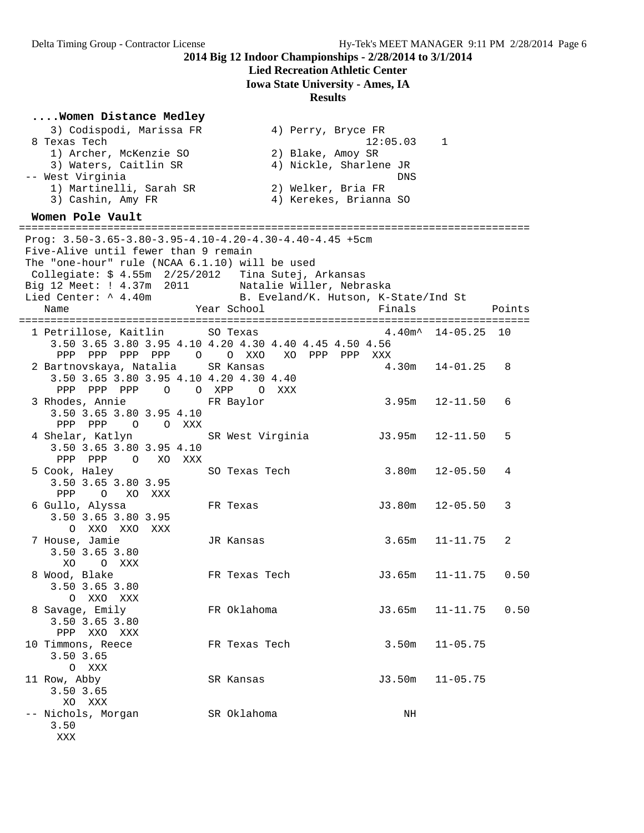# **Lied Recreation Athletic Center**

**Iowa State University - Ames, IA**

## **Results**

## **....Women Distance Medley**

| 3) Codispodi, Marissa FR<br>8 Texas Tech<br>1) Archer, McKenzie SO<br>3) Waters, Caitlin SR<br>-- West Virginia<br>1) Martinelli, Sarah SR<br>3) Cashin, Amy FR                        | 4) Perry, Bryce FR<br>2) Blake, Amoy SR<br>4) Nickle, Sharlene JR<br>2) Welker, Bria FR<br>4) Kerekes, Brianna SO                                                    | 12:05.03<br><b>DNS</b> | 1                       |  |
|----------------------------------------------------------------------------------------------------------------------------------------------------------------------------------------|----------------------------------------------------------------------------------------------------------------------------------------------------------------------|------------------------|-------------------------|--|
| Women Pole Vault                                                                                                                                                                       |                                                                                                                                                                      |                        |                         |  |
| Five-Alive until fewer than 9 remain<br>The "one-hour" rule (NCAA 6.1.10) will be used<br>Collegiate: \$ 4.55m  2/25/2012<br>Big 12 Meet: ! 4.37m 2011<br>Lied Center: ^ 4.40m<br>Name | Prog: $3.50-3.65-3.80-3.95-4.10-4.20-4.30-4.40-4.45$ +5cm<br>Tina Sutej, Arkansas<br>Natalie Willer, Nebraska<br>B. Eveland/K. Hutson, K-State/Ind St<br>Year School | Finals                 | Points                  |  |
|                                                                                                                                                                                        |                                                                                                                                                                      |                        |                         |  |
| 1 Petrillose, Kaitlin<br>PPP PPP PPP PPP 0                                                                                                                                             | SO Texas<br>3.50 3.65 3.80 3.95 4.10 4.20 4.30 4.40 4.45 4.50 4.56<br>O XXO<br>XO PPP PPP                                                                            | XXX                    | $4.40m^*$ 14-05.25 10   |  |
| 2 Bartnovskaya, Natalia<br>3.50 3.65 3.80 3.95 4.10 4.20 4.30 4.40<br>PPP PPP PPP 0 0 XPP 0 XXX                                                                                        | SR Kansas                                                                                                                                                            | 4.30m                  | $14 - 01.25$<br>8       |  |
| 3 Rhodes, Annie<br>3.50 3.65 3.80 3.95 4.10<br>PPP PPP<br>O O XXX                                                                                                                      | FR Baylor                                                                                                                                                            |                        | $3.95m$ $12-11.50$<br>6 |  |
| 4 Shelar, Katlyn<br>3.50 3.65 3.80 3.95 4.10<br>PPP PPP 0 XO XXX                                                                                                                       | SR West Virginia                                                                                                                                                     | J3.95m                 | 12-11.50<br>5           |  |
| 5 Cook, Haley<br>3.50 3.65 3.80 3.95<br>PPP<br>XO XXX<br>$\circ$                                                                                                                       | SO Texas Tech                                                                                                                                                        | 3.80m                  | $12 - 05.50$<br>4       |  |
| 6 Gullo, Alyssa<br>3.50 3.65 3.80 3.95<br>O XXO XXO XXX                                                                                                                                | FR Texas                                                                                                                                                             | J3.80m                 | $12 - 05.50$<br>3       |  |
| 7 House, Jamie<br>3.50 3.65 3.80<br>XO.<br>O XXX                                                                                                                                       | JR Kansas                                                                                                                                                            | 3.65m                  | $11 - 11.75$<br>2       |  |
| 8 Wood, Blake<br>3.50 3.65 3.80<br>O XXO XXX                                                                                                                                           | FR Texas Tech                                                                                                                                                        | J3.65m                 | 0.50<br>11-11.75        |  |
| 8 Savage, Emily<br>3.50 3.65 3.80<br>PPP XXO XXX                                                                                                                                       | FR Oklahoma                                                                                                                                                          | J3.65m                 | $11 - 11.75$<br>0.50    |  |
| 10 Timmons, Reece<br>3.50 3.65<br>O XXX                                                                                                                                                | FR Texas Tech                                                                                                                                                        | 3.50m                  | $11 - 05.75$            |  |
| 11 Row, Abby<br>3.50 3.65<br>XO XXX                                                                                                                                                    | SR Kansas                                                                                                                                                            | J3.50m                 | $11 - 05.75$            |  |
| -- Nichols, Morgan<br>3.50                                                                                                                                                             | SR Oklahoma                                                                                                                                                          | ΝH                     |                         |  |

XXX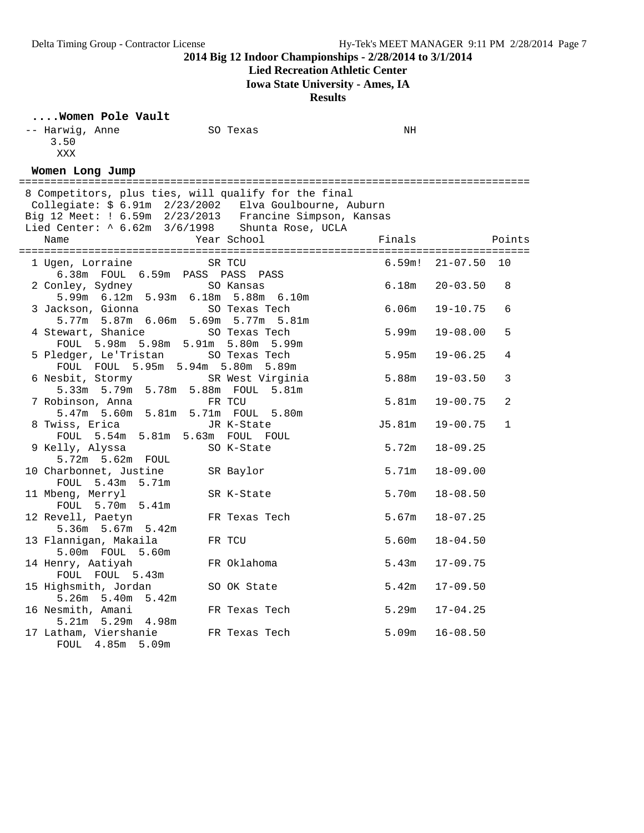# **Lied Recreation Athletic Center**

**Iowa State University - Ames, IA**

**Results**

| Women Pole Vault |  |
|------------------|--|
| -- Harwig Anno   |  |

| $\ldots$ . Women Pole Vault                                                                                                                                                                                                             |                         |                   |                              |
|-----------------------------------------------------------------------------------------------------------------------------------------------------------------------------------------------------------------------------------------|-------------------------|-------------------|------------------------------|
| -- Harwig, Anne<br>3.50                                                                                                                                                                                                                 | SO Texas                | NH                |                              |
| XXX                                                                                                                                                                                                                                     |                         |                   |                              |
| Women Long Jump                                                                                                                                                                                                                         |                         |                   |                              |
| 8 Competitors, plus ties, will qualify for the final<br>Collegiate: \$ 6.91m 2/23/2002 Elva Goulbourne, Auburn<br>Big 12 Meet: $1.6.59m$ $2/23/2013$ Francine Simpson, Kansas<br>Lied Center: $\sim 6.62m$ $3/6/1998$ Shunta Rose, UCLA |                         |                   |                              |
| Name                                                                                                                                                                                                                                    | Year School             | Finals            | Points                       |
| 1 Ugen, Lorraine<br>6.38m FOUL 6.59m PASS PASS PASS                                                                                                                                                                                     | SR TCU                  | 6.59m!            | 10<br>$21 - 07.50$           |
| 2 Conley, Sydney<br>5.99m 6.12m 5.93m 6.18m 5.88m 6.10m                                                                                                                                                                                 | SO Kansas               | 6.18m             | $20 - 03.50$<br>8            |
| 3 Jackson, Gionna<br>5.77m 5.87m 6.06m 5.69m 5.77m 5.81m                                                                                                                                                                                | SO Texas Tech           | 6.06 <sub>m</sub> | 6<br>$19 - 10.75$            |
| 4 Stewart, Shanice<br>FOUL 5.98m 5.98m 5.91m 5.80m 5.99m                                                                                                                                                                                | SO Texas Tech           | 5.99m             | 5<br>$19 - 08.00$            |
| 5 Pledger, Le'Tristan<br>FOUL FOUL 5.95m 5.94m 5.80m 5.89m                                                                                                                                                                              | SO Texas Tech           | 5.95 <sub>m</sub> | $19 - 06.25$<br>4            |
| 6 Nesbit, Stormy<br>5.33m 5.79m 5.78m 5.88m FOUL 5.81m                                                                                                                                                                                  | SR West Virginia        | 5.88m             | $19 - 03.50$<br>3            |
| 7 Robinson, Anna<br>5.47m 5.60m 5.81m 5.71m FOUL 5.80m                                                                                                                                                                                  | FR TCU                  | 5.81 <sub>m</sub> | $19 - 00.75$<br>2            |
| 8 Twiss, Erica<br>FOUL 5.54m 5.81m 5.63m FOUL FOUL                                                                                                                                                                                      | JR K-State              | J5.81m            | $\mathbf{1}$<br>$19 - 00.75$ |
| 9 Kelly, Alyssa<br>5.72m 5.62m FOUL                                                                                                                                                                                                     | SO K-State              | 5.72m             | $18 - 09.25$                 |
| 10 Charbonnet, Justine<br>FOUL 5.43m 5.71m                                                                                                                                                                                              | SR Baylor               | 5.71m             | $18 - 09.00$                 |
| 11 Mbeng, Merryl<br>FOUL 5.70m 5.41m                                                                                                                                                                                                    | SR K-State              | 5.70m             | $18 - 08.50$                 |
| 12 Revell, Paetyn<br>5.36m 5.67m 5.42m                                                                                                                                                                                                  | FR Texas Tech<br>FR TCU | 5.67m<br>5.60m    | $18 - 07.25$                 |
| 13 Flannigan, Makaila<br>5.00m FOUL 5.60m                                                                                                                                                                                               | FR Oklahoma             | 5.43m             | $18 - 04.50$                 |
| 14 Henry, Aatiyah<br>FOUL FOUL 5.43m                                                                                                                                                                                                    |                         |                   | $17 - 09.75$                 |
| 15 Highsmith, Jordan<br>5.26m 5.40m 5.42m                                                                                                                                                                                               | SO OK State             | 5.42m             | $17 - 09.50$                 |
| 16 Nesmith, Amani<br>$5.21m$ $5.29m$<br>4.98m                                                                                                                                                                                           | FR Texas Tech           | 5.29m             | $17 - 04.25$                 |
| 17 Latham, Viershanie<br>FOUL 4.85m<br>5.09m                                                                                                                                                                                            | FR Texas Tech           | 5.09m             | $16 - 08.50$                 |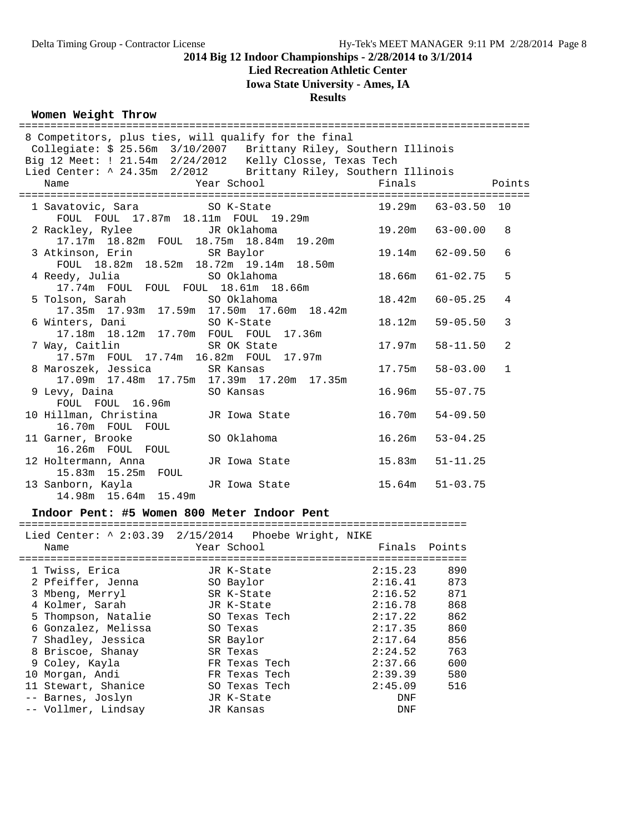# **Lied Recreation Athletic Center**

**Iowa State University - Ames, IA**

#### **Results**

## **Women Weight Throw**

| 8 Competitors, plus ties, will qualify for the final                |                                                                                                                                |                 |                     |                |
|---------------------------------------------------------------------|--------------------------------------------------------------------------------------------------------------------------------|-----------------|---------------------|----------------|
|                                                                     | Collegiate: \$ 25.56m 3/10/2007 Brittany Riley, Southern Illinois                                                              |                 |                     |                |
|                                                                     |                                                                                                                                |                 |                     |                |
|                                                                     | Big 12 Meet: ! 21.54m  2/24/2012  Kelly Closse, Texas Tech<br>Lied Center: ^ 24.35m  2/2012  Brittany Riley, Southern Illinois |                 |                     |                |
| Name                                                                | Year School <a> Finals</a>                                                                                                     |                 | <b>Points</b>       |                |
|                                                                     |                                                                                                                                |                 |                     |                |
|                                                                     | 1 Savatovic, Sara 50 K-State 50 19.29m 63-03.50 10                                                                             |                 |                     |                |
|                                                                     | FOUL FOUL 17.87m 18.11m FOUL 19.29m                                                                                            |                 |                     |                |
| 2 Rackley, Rylee JR Oklahoma                                        |                                                                                                                                |                 |                     | 8              |
|                                                                     |                                                                                                                                |                 |                     |                |
| 3 Atkinson, Erin SR Baylor                                          |                                                                                                                                |                 | 19.14m 62-09.50     | 6              |
| FOUL 18.82m 18.52m 18.72m 19.14m 18.50m                             |                                                                                                                                |                 |                     |                |
| 4 Reedy, Julia and SO Oklahoma                                      |                                                                                                                                |                 | $18.66m$ $61-02.75$ | 5              |
| 17.74m FOUL FOUL FOUL 18.61m 18.66m                                 |                                                                                                                                |                 |                     |                |
| 5 Tolson, Sarah               SO Oklahoma                           |                                                                                                                                |                 | $18.42m$ 60-05.25   | $\overline{4}$ |
|                                                                     | 17.35m  17.93m  17.59m  17.50m  17.60m  18.42m                                                                                 |                 |                     |                |
|                                                                     |                                                                                                                                |                 | $18.12m$ $59-05.50$ | 3              |
| 6 Winters, Dani SO K-State<br>17.18m 18.12m 17.70m FOUL FOUL 17.36m |                                                                                                                                |                 |                     |                |
| 7 Way, Caitlin SR OK State                                          |                                                                                                                                |                 | $17.97m$ $58-11.50$ | $\mathfrak{D}$ |
| 17.57m FOUL 17.74m 16.82m FOUL 17.97m                               |                                                                                                                                |                 |                     |                |
| 8 Maroszek, Jessica SR Kansas                                       |                                                                                                                                |                 | $17.75m$ $58-03.00$ | $\mathbf{1}$   |
|                                                                     | 17.09m  17.48m  17.75m  17.39m  17.20m  17.35m                                                                                 |                 |                     |                |
|                                                                     |                                                                                                                                | 16.96m 55-07.75 |                     |                |
| 9 Levy, Daina<br>FOUL FOUL 16.96m<br>FOUL FOUL 16.96m               |                                                                                                                                |                 |                     |                |
|                                                                     | 10 Hillman, Christina JR Iowa State 16.70m 54-09.50                                                                            |                 |                     |                |
| 16.70m FOUL FOUL                                                    |                                                                                                                                |                 |                     |                |
| 11 Garner, Brooke 50 Oklahoma                                       |                                                                                                                                | 16.26m          | $53 - 04.25$        |                |
| 16.26m FOUL FOUL                                                    |                                                                                                                                |                 |                     |                |
| 12 Holtermann, Anna (JR Iowa State)                                 | $15.83m$ $51-11.25$                                                                                                            |                 |                     |                |
| 15.83m  15.25m  FOUL                                                |                                                                                                                                |                 |                     |                |
|                                                                     | JR Iowa State and the State of the State of the State of the State of the State of the State of the State of the               | 15.64m 51-03.75 |                     |                |
| 13 Sanborn, Kayla<br>14.98m 15.64m 15.49m                           |                                                                                                                                |                 |                     |                |

# **Indoor Pent: #5 Women 800 Meter Indoor Pent**

#### =======================================================================

Lied Center: ^ 2:03.39 2/15/2014 Phoebe Wright, NIKE

| Name                | Year School   | Finals  | Points |
|---------------------|---------------|---------|--------|
| 1 Twiss, Erica      | JR K-State    | 2:15.23 | 890    |
| 2 Pfeiffer, Jenna   | SO Baylor     | 2:16.41 | 873    |
| 3 Mbeng, Merryl     | SR K-State    | 2:16.52 | 871    |
| 4 Kolmer, Sarah     | JR K-State    | 2:16.78 | 868    |
| 5 Thompson, Natalie | SO Texas Tech | 2:17.22 | 862    |
| 6 Gonzalez, Melissa | SO Texas      | 2:17.35 | 860    |
| 7 Shadley, Jessica  | SR Baylor     | 2:17.64 | 856    |
| 8 Briscoe, Shanay   | SR Texas      | 2:24.52 | 763    |
| 9 Coley, Kayla      | FR Texas Tech | 2:37.66 | 600    |
| 10 Morgan, Andi     | FR Texas Tech | 2:39.39 | 580    |
| 11 Stewart, Shanice | SO Texas Tech | 2:45.09 | 516    |
| -- Barnes, Joslyn   | JR K-State    | DNF     |        |
| -- Vollmer, Lindsay | JR Kansas     | DNF     |        |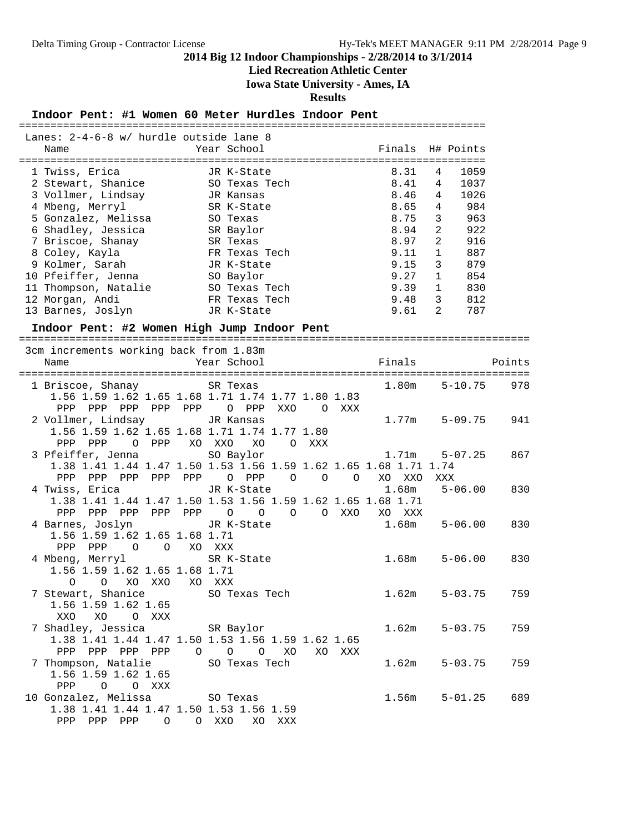**Lied Recreation Athletic Center**

**Iowa State University - Ames, IA**

**Results**

## **Indoor Pent: #1 Women 60 Meter Hurdles Indoor Pent**

| Lanes: 2-4-6-8 w/ hurdle outside lane 8                          |     |                                      |         |        |                       |        |
|------------------------------------------------------------------|-----|--------------------------------------|---------|--------|-----------------------|--------|
| Name                                                             |     | Year School                          |         | Finals | H# Points             |        |
|                                                                  |     |                                      |         |        |                       |        |
| 1 Twiss, Erica                                                   |     | JR K-State                           |         | 8.31   | 1059<br>4             |        |
| 2 Stewart, Shanice                                               |     | SO Texas Tech                        |         | 8.41   | 4<br>1037             |        |
| 3 Vollmer, Lindsay                                               |     | JR Kansas                            |         | 8.46   | 4<br>1026             |        |
| 4 Mbeng, Merryl                                                  |     | SR K-State                           |         | 8.65   | 984<br>4              |        |
| 5 Gonzalez, Melissa                                              |     | SO Texas                             |         | 8.75   | 963<br>3              |        |
| 6 Shadley, Jessica                                               |     | SR Baylor                            |         | 8.94   | $\overline{c}$<br>922 |        |
|                                                                  |     | SR Texas                             |         | 8.97   | $\mathbf{2}$<br>916   |        |
| 7 Briscoe, Shanay                                                |     |                                      |         |        |                       |        |
| 8 Coley, Kayla                                                   |     | FR Texas Tech                        |         | 9.11   | $\mathbf{1}$<br>887   |        |
| 9 Kolmer, Sarah                                                  |     | JR K-State                           |         | 9.15   | 3<br>879              |        |
| 10 Pfeiffer, Jenna                                               |     | SO Baylor                            |         | 9.27   | 1<br>854              |        |
| 11 Thompson, Natalie                                             |     | SO Texas Tech                        |         | 9.39   | $\mathbf{1}$<br>830   |        |
| 12 Morgan, Andi                                                  |     | FR Texas Tech                        |         | 9.48   | $\overline{3}$<br>812 |        |
| 13 Barnes, Joslyn                                                |     | JR K-State                           |         | 9.61   | 2<br>787              |        |
| Indoor Pent: #2 Women High Jump Indoor Pent                      |     |                                      |         |        |                       |        |
|                                                                  |     |                                      |         |        |                       |        |
| 3cm increments working back from 1.83m                           |     |                                      |         |        |                       |        |
| Name                                                             |     | Year School                          |         | Finals |                       | Points |
|                                                                  |     |                                      |         |        |                       |        |
| 1 Briscoe, Shanay                                                |     | SR Texas                             |         | 1.80m  | $5 - 10.75$           | 978    |
| 1.56 1.59 1.62 1.65 1.68 1.71 1.74 1.77 1.80 1.83                |     |                                      |         |        |                       |        |
| PPP PPP PPP PPP PPP                                              |     | O PPP<br>XXO                         | O XXX   |        |                       |        |
|                                                                  |     |                                      |         |        |                       |        |
| 2 Vollmer, Lindsay                                               |     | JR Kansas                            |         | 1.77m  | $5 - 09.75$           | 941    |
| 1.56 1.59 1.62 1.65 1.68 1.71 1.74 1.77 1.80                     |     |                                      |         |        |                       |        |
| PPP PPP<br>0 PPP                                                 |     | XO XXO<br>XO<br>$\circ$<br>XXX       |         |        |                       |        |
| 3 Pfeiffer, Jenna                                                |     | SO Baylor                            |         | 1.71m  | $5 - 07.25$           | 867    |
| 1.38 1.41 1.44 1.47 1.50 1.53 1.56 1.59 1.62 1.65 1.68 1.71 1.74 |     |                                      |         |        |                       |        |
| PPP<br>PPP PPP PPP                                               | PPP | O PPP<br>$\circ$<br>$\circ$          | $\circ$ | XO XXO | XXX                   |        |
| 4 Twiss, Erica                                                   |     | JR K-State                           |         | 1.68m  | $5 - 06.00$           | 830    |
| 1.38 1.41 1.44 1.47 1.50 1.53 1.56 1.59 1.62 1.65 1.68 1.71      |     |                                      |         |        |                       |        |
| PPP PPP<br>PPP PPP PPP                                           |     | $\circ$<br>$\overline{O}$<br>$\circ$ | O XXO   | XO XXX |                       |        |
| 4 Barnes, Joslyn                                                 |     | JR K-State                           |         | 1.68m  | $5 - 06.00$           | 830    |
| 1.56 1.59 1.62 1.65 1.68 1.71                                    |     |                                      |         |        |                       |        |
| PPP PPP<br>$\circ$<br>$\overline{O}$                             |     | XO XXX                               |         |        |                       |        |
| 4 Mbeng, Merryl                                                  |     | SR K-State                           |         | 1.68m  | $5 - 06.00$           | 830    |
| 1.56 1.59 1.62 1.65 1.68 1.71                                    |     |                                      |         |        |                       |        |
| XO XXO                                                           |     |                                      |         |        |                       |        |
| 0<br>$\circ$                                                     |     | XO XXX                               |         |        |                       |        |
| 7 Stewart, Shanice 50 Texas Tech                                 |     |                                      |         | 1.62m  | $5 - 03.75$           | 759    |
| 1.56 1.59 1.62 1.65                                              |     |                                      |         |        |                       |        |
| XO<br>O XXX<br>XXO                                               |     |                                      |         |        |                       |        |
| 7 Shadley, Jessica                                               |     | SR Baylor                            |         | 1.62m  | $5 - 03.75$           | 759    |
| 1.38 1.41 1.44 1.47 1.50 1.53 1.56 1.59 1.62 1.65                |     |                                      |         |        |                       |        |
| PPP PPP PPP PPP                                                  |     | $O$ $O$ $O$ $XO$                     | XO XXX  |        |                       |        |
| 7 Thompson, Natalie                                              |     | SO Texas Tech                        |         | 1.62m  | $5 - 03.75$           | 759    |
| 1.56 1.59 1.62 1.65                                              |     |                                      |         |        |                       |        |
| PPP 0 0 XXX                                                      |     |                                      |         |        |                       |        |
| 10 Gonzalez, Melissa                                             |     | SO Texas                             |         | 1.56m  | $5 - 01.25$           | 689    |
| 1.38 1.41 1.44 1.47 1.50 1.53 1.56 1.59                          |     |                                      |         |        |                       |        |
| PPP PPP PPP<br>$\circ$                                           |     | O XXO<br>XO XXX                      |         |        |                       |        |
|                                                                  |     |                                      |         |        |                       |        |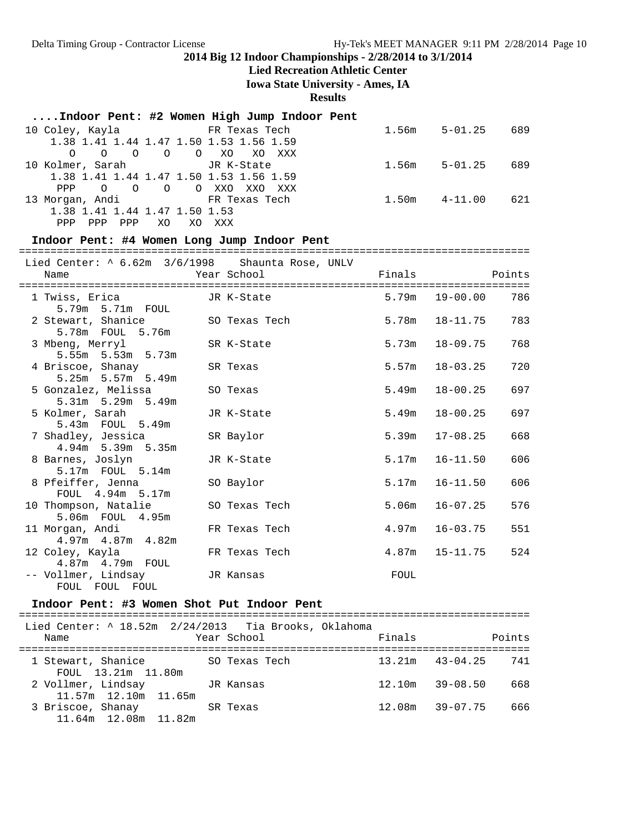## **Lied Recreation Athletic Center**

**Iowa State University - Ames, IA**

**Results**

## **....Indoor Pent: #2 Women High Jump Indoor Pent**

|                                             |            |                     | $1.56m$ $5-01.25$ |             | 689 |
|---------------------------------------------|------------|---------------------|-------------------|-------------|-----|
| 1.38 1.41 1.44 1.47 1.50 1.53 1.56 1.59     |            |                     |                   |             |     |
|                                             |            | 0 0 0 0 0 XO XO XXX |                   |             |     |
| 10 Kolmer, Sarah Garat JR K-State           |            |                     | 1.56m             | $5 - 01.25$ | 689 |
| 1.38 1.41 1.44 1.47 1.50 1.53 1.56 1.59     |            |                     |                   |             |     |
| PPP 0 0 0 0 XXO XXO XXX                     |            |                     |                   |             |     |
| 13 Morgan, Andi               FR Texas Tech |            |                     | $1.50m$ $4-11.00$ |             | 621 |
| 1.38 1.41 1.44 1.47 1.50 1.53               |            |                     |                   |             |     |
| PPP<br>PPP<br>PPP                           | XO.<br>XO. | xxx                 |                   |             |     |

#### **Indoor Pent: #4 Women Long Jump Indoor Pent**

=================================================================================

|      |                                            | Lied Center: $\land$ 6.62m $3/6/1998$ Shaunta Rose, UNLV |               |                    |     |
|------|--------------------------------------------|----------------------------------------------------------|---------------|--------------------|-----|
| Name |                                            | Year School                                              | Finals Points |                    |     |
|      | 5.79m 5.71m FOUL                           | 1 Twiss, Erica GR K-State                                |               | $5.79m$ $19-00.00$ | 786 |
|      | 2 Stewart, Shanice<br>5.78m FOUL 5.76m     | SO Texas Tech                                            | 5.78m         | 18-11.75           | 783 |
|      | 3 Mbeng, Merryl<br>5.55m 5.53m 5.73m       | SR K-State                                               | 5.73m         | 18-09.75           | 768 |
|      | 4 Briscoe, Shanay<br>5.25m 5.57m 5.49m     | SR Texas                                                 |               | $5.57m$ $18-03.25$ | 720 |
|      | 5 Gonzalez, Melissa<br>5.31m 5.29m 5.49m   | SO Texas                                                 | 5.49m         | $18 - 00.25$       | 697 |
|      | 5 Kolmer, Sarah<br>5.43m FOUL 5.49m        | JR K-State                                               | 5.49m         | $18 - 00.25$       | 697 |
|      | 7 Shadley, Jessica<br>4.94m 5.39m 5.35m    | SR Baylor                                                | 5.39m         | $17 - 08.25$       | 668 |
|      | 8 Barnes, Joslyn<br>5.17m  FOUL  5.14m     | JR K-State                                               | 5.17m         | $16 - 11.50$       | 606 |
|      | 8 Pfeiffer, Jenna<br>FOUL 4.94m 5.17m      | SO Baylor                                                | 5.17m         | $16 - 11.50$       | 606 |
|      | 10 Thompson, Natalie<br>5.06m FOUL 4.95m   | SO Texas Tech                                            | 5.06m         | 16-07.25           | 576 |
|      | 11 Morgan, Andi<br>$4.97m$ $4.87m$ $4.82m$ | FR Texas Tech                                            | 4.97m         | 16-03.75           | 551 |
|      | 12 Coley, Kayla<br>4.87m  4.79m  FOUL      | FR Texas Tech                                            |               | $4.87m$ $15-11.75$ | 524 |
|      | -- Vollmer, Lindsay<br>FOUL FOUL FOUL      | JR Kansas                                                | FOUL          |                    |     |

#### **Indoor Pent: #3 Women Shot Put Indoor Pent**

| Lied Center: ^ 18.52m 2/24/2013 Tia Brooks, Oklahoma<br>Name |           | Year School   | Finals |                     | Points |
|--------------------------------------------------------------|-----------|---------------|--------|---------------------|--------|
| 1 Stewart, Shanice<br>FOUL 13.21m 11.80m                     |           | SO Texas Tech |        | $13.21m$ $43-04.25$ | 741    |
| 2 Vollmer, Lindsay<br>$11.57m$ $12.10m$ $11.65m$             | JR Kansas |               | 12.10m | 39-08.50            | 668    |
| 3 Briscoe, Shanay<br>11.64m 12.08m 11.82m                    |           | SR Texas      |        | $12.08m$ $39-07.75$ | 666    |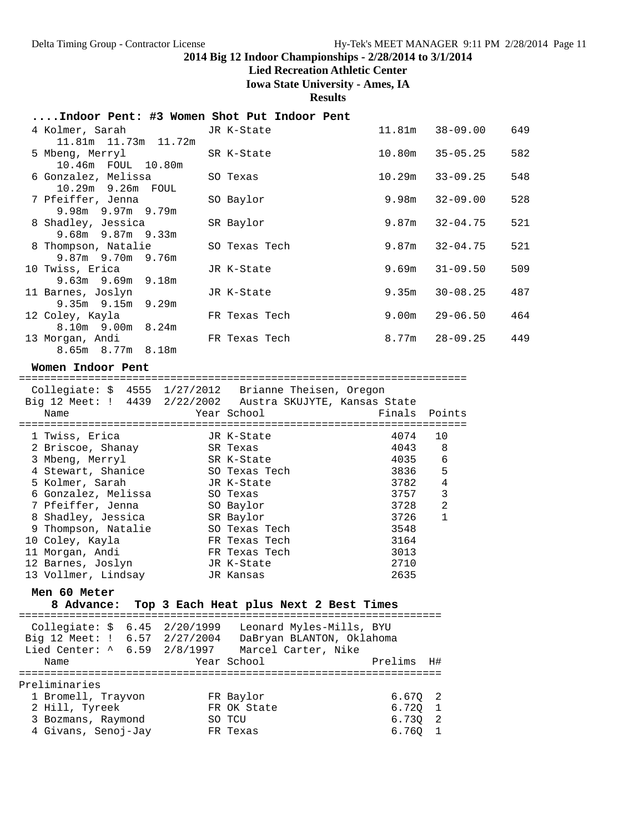## **Lied Recreation Athletic Center**

**Iowa State University - Ames, IA**

**Results**

## **....Indoor Pent: #3 Women Shot Put Indoor Pent**

| 4 Kolmer, Sarah           | JR K-State    | 11.81m | $38 - 09.00$ | 649 |
|---------------------------|---------------|--------|--------------|-----|
| 11.81m  11.73m  11.72m    |               |        |              |     |
| 5 Mbeng, Merryl           | SR K-State    | 10.80m | 35-05.25     | 582 |
| 10.46m FOUL 10.80m        |               |        |              |     |
| 6 Gonzalez, Melissa       | SO Texas      | 10.29m | $33 - 09.25$ | 548 |
| 10.29m 9.26m FOUL         |               |        |              |     |
| 7 Pfeiffer, Jenna         | SO Baylor     | 9.98m  | 32-09.00     | 528 |
| $9.98m$ $9.97m$ $9.79m$   |               |        |              |     |
| 8 Shadley, Jessica        | SR Baylor     | 9.87m  | $32 - 04.75$ | 521 |
| $9.68m$ $9.87m$ $9.33m$   |               |        |              |     |
| 8 Thompson, Natalie       | SO Texas Tech | 9.87m  | $32 - 04.75$ | 521 |
| 9.87m 9.70m 9.76m         |               |        |              |     |
| 10 Twiss, Erica           | JR K-State    | 9.69m  | 31-09.50     | 509 |
| $9.63m$ $9.69m$ $9.18m$   |               |        |              |     |
| 11 Barnes, Joslyn         | JR K-State    | 9.35m  | $30 - 08.25$ | 487 |
| $9.35m$ $9.15m$ $9.29m$   |               |        |              |     |
| 12 Coley, Kayla           | FR Texas Tech | 9.00m  | $29 - 06.50$ | 464 |
| $8.10m$ 9.00 $m$ 8.24 $m$ |               |        |              |     |
| 13 Morgan, Andi           | FR Texas Tech | 8.77m  | 28-09.25     | 449 |
| 8.65m 8.77m 8.18m         |               |        |              |     |

#### **Women Indoor Pent**

 Collegiate: \$ 4555 1/27/2012 Brianne Theisen, Oregon Big 12 Meet: ! 4439 2/22/2002 Austra SKUJYTE, Kansas State Name Year School Finals Points

=======================================================================

| NQULC               | TCAT DOITOOT  | $\Gamma$ $\pm$ 110 $\pm$ 0 | --------       |
|---------------------|---------------|----------------------------|----------------|
| 1 Twiss, Erica      | JR K-State    | 4074                       | 10             |
| 2 Briscoe, Shanay   | SR Texas      | 4043                       | 8              |
| 3 Mbeng, Merryl     | SR K-State    | 4035                       | - 6            |
| 4 Stewart, Shanice  | SO Texas Tech | 3836                       | 5              |
| 5 Kolmer, Sarah     | JR K-State    | 3782                       | $\overline{4}$ |
| 6 Gonzalez, Melissa | SO Texas      | 3757                       | 3              |
| 7 Pfeiffer, Jenna   | SO Baylor     | 3728                       | $\mathfrak{D}$ |
| 8 Shadley, Jessica  | SR Baylor     | 3726                       | $\mathbf{1}$   |
| 9 Thompson, Natalie | SO Texas Tech | 3548                       |                |
| 10 Coley, Kayla     | FR Texas Tech | 3164                       |                |
| 11 Morgan, Andi     | FR Texas Tech | 3013                       |                |
| 12 Barnes, Joslyn   | JR K-State    | 2710                       |                |
| 13 Vollmer, Lindsay | JR Kansas     | 2635                       |                |

#### **Men 60 Meter**

**8 Advance: Top 3 Each Heat plus Next 2 Best Times**

| Collegiate: $$6.45$ 2/20/1999<br>Big 12 Meet: ! 6.57 2/27/2004<br>Lied Center: ^ 6.59 2/8/1997 |  |  | Leonard Myles-Mills, BYU<br>DaBryan BLANTON, Oklahoma<br>Marcel Carter, Nike |         |                |
|------------------------------------------------------------------------------------------------|--|--|------------------------------------------------------------------------------|---------|----------------|
| Name                                                                                           |  |  | Year School                                                                  | Prelims | H#             |
|                                                                                                |  |  |                                                                              |         |                |
| Preliminaries                                                                                  |  |  |                                                                              |         |                |
| 1 Bromell, Trayvon                                                                             |  |  | FR Baylor                                                                    | 6.6702  |                |
| 2 Hill, Tyreek                                                                                 |  |  | FR OK State                                                                  | 6.720   | $\overline{1}$ |
| 3 Bozmans, Raymond                                                                             |  |  | SO TCU                                                                       | 6.730   | $\overline{2}$ |
| 4 Givans, Senoj-Jay                                                                            |  |  | FR Texas                                                                     | 6.760   | - 1            |
|                                                                                                |  |  |                                                                              |         |                |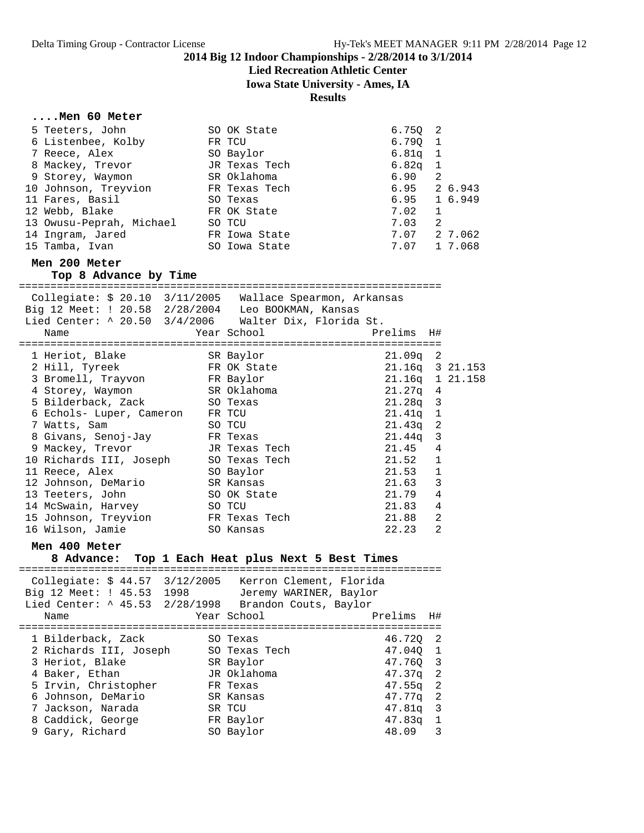## **Lied Recreation Athletic Center**

**Iowa State University - Ames, IA**

**Results**

#### **....Men 60 Meter**

| 5 Teeters, John          | SO OK State   | 6.750 2             |                          |         |
|--------------------------|---------------|---------------------|--------------------------|---------|
| 6 Listenbee, Kolby       | FR TCU        | 6.7901              |                          |         |
| 7 Reece, Alex            | SO Baylor     | $6.81q$ 1           |                          |         |
| 8 Mackey, Trevor         | JR Texas Tech | 6.82q               | $\overline{\phantom{0}}$ |         |
| 9 Storey, Waymon         | SR Oklahoma   | 6.90                | 2                        |         |
| 10 Johnson, Treyvion     | FR Texas Tech | $6.95$ 2 6.943      |                          |         |
| 11 Fares, Basil          | SO Texas      | $6.95 \quad 16.949$ |                          |         |
| 12 Webb, Blake           | FR OK State   | 7.02                | 1                        |         |
| 13 Owusu-Peprah, Michael | SO TCU        | 7.03                | 2                        |         |
| 14 Ingram, Jared         | FR Iowa State | 7.07                |                          | 2 7.062 |
| 15 Tamba, Ivan           | SO Iowa State | 7.07 1 7.068        |                          |         |

#### **Men 200 Meter**

## **Top 8 Advance by Time**

| Collegiate: \$ 20.10 3/11/2005 Wallace Spearmon, Arkansas<br>Big 12 Meet: ! 20.58 2/28/2004 Leo BOOKMAN, Kansas<br>Lied Center: ^ 20.50 3/4/2006 Walter Dix, Florida St.<br>Name |               |                 |                |  |
|----------------------------------------------------------------------------------------------------------------------------------------------------------------------------------|---------------|-----------------|----------------|--|
| 1 Heriot, Blake SR Baylor                                                                                                                                                        |               | $21.09q$ 2      |                |  |
| 2 Hill, Tyreek FR OK State                                                                                                                                                       |               | 21.16q 3 21.153 |                |  |
| 3 Bromell, Trayvon FR Baylor                                                                                                                                                     |               | 21.16q 1 21.158 |                |  |
| 4 Storey, Waymon SR Oklahoma                                                                                                                                                     |               | $21.27q$ 4      |                |  |
| 5 Bilderback, Zack SO Texas                                                                                                                                                      |               | $21.28q$ 3      |                |  |
| 6 Echols- Luper, Cameron                                                                                                                                                         | FR TCU        | $21.41q$ 1      |                |  |
| 7 Watts, Sam                                                                                                                                                                     | SO TCU        | $21.43q$ 2      |                |  |
| 8 Givans, Senoj-Jay                                                                                                                                                              | FR Texas      | $21.44q$ 3      |                |  |
| 9 Mackey, Trevor                                                                                                                                                                 | JR Texas Tech | 21.45           | $\overline{4}$ |  |
| 10 Richards III, Joseph SO Texas Tech                                                                                                                                            |               | 21.52 1         |                |  |
| 11 Reece, Alex                                                                                                                                                                   | SO Baylor     | $21.53$ 1       |                |  |
| 12 Johnson, DeMario                                                                                                                                                              | SR Kansas     | 21.63           | 3              |  |
| 13 Teeters, John                                                                                                                                                                 | SO OK State   | 21.79           | 4              |  |
| 14 McSwain, Harvey                                                                                                                                                               | SO TCU        | 21.83           | $\overline{4}$ |  |
| 15 Johnson, Treyvion                                                                                                                                                             | FR Texas Tech | 21.88           | 2              |  |
| 16 Wilson, Jamie                                                                                                                                                                 | SO Kansas     | 22.23           | $\overline{2}$ |  |

#### **Men 400 Meter**

## **8 Advance: Top 1 Each Heat plus Next 5 Best Times**

| Collegiate: \$44.57 3/12/2005 Kerron Clement, Florida<br>Big 12 Meet: ! 45.53 1998<br>Lied Center: ^ 45.53 2/28/1998 Brandon Couts, Baylor<br>Name                                           | Jeremy WARINER, Baylor<br>Year School                                                                              | Prelims                                                                                                     | H#                                                     |
|----------------------------------------------------------------------------------------------------------------------------------------------------------------------------------------------|--------------------------------------------------------------------------------------------------------------------|-------------------------------------------------------------------------------------------------------------|--------------------------------------------------------|
| 1 Bilderback, Zack<br>2 Richards III, Joseph<br>3 Heriot, Blake<br>4 Baker, Ethan<br>5 Irvin, Christopher<br>6 Johnson, DeMario<br>7 Jackson, Narada<br>8 Caddick, George<br>9 Gary, Richard | SO Texas<br>SO Texas Tech<br>SR Baylor<br>JR Oklahoma<br>FR Texas<br>SR Kansas<br>SR TCU<br>FR Baylor<br>SO Baylor | 46.720 2<br>47.040 1<br>47.760 3<br>$47.37q$ 2<br>$47.55q$ 2<br>47.77q<br>$47.81q$ 3<br>$47.83q$ 1<br>48.09 | $\overline{\phantom{0}}^2$<br>$\overline{\phantom{a}}$ |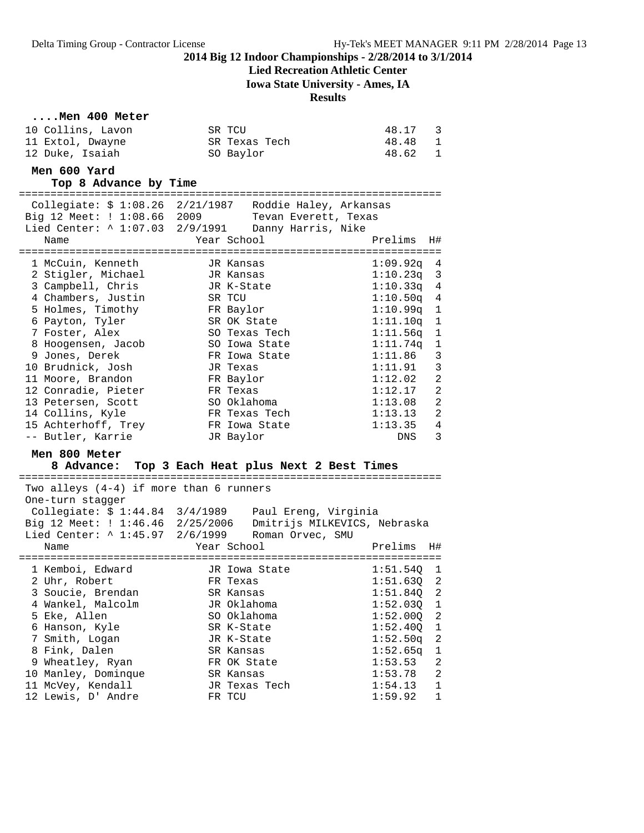## **Lied Recreation Athletic Center**

**Iowa State University - Ames, IA**

#### **Results**

#### **....Men 400 Meter**

| 10 Collins, Lavon | SR TCU        | 48.17   | $\overline{\phantom{a}}$ 3 |
|-------------------|---------------|---------|----------------------------|
| 11 Extol, Dwayne  | SR Texas Tech | 48.48   | $\blacksquare$             |
| 12 Duke, Isaiah   | SO Baylor     | 48.62 1 |                            |

## **Men 600 Yard**

**Top 8 Advance by Time**

===================================================================

| Collegiate: \$ 1:08.26 2/21/1987 Roddie Haley, Arkansas  |        |                                    |                           |                |
|----------------------------------------------------------|--------|------------------------------------|---------------------------|----------------|
| Big 12 Meet: ! 1:08.66 2009 Tevan Everett, Texas         |        |                                    |                           |                |
| Lied Center: $\land$ 1:07.03 2/9/1991 Danny Harris, Nike |        |                                    |                           |                |
| Name                                                     |        | Year School <b>Sandware School</b> | Prelims                   | H#             |
| ============================                             |        |                                    | ========================= |                |
| 1 McCuin, Kenneth Gall JR Kansas                         |        |                                    | $1:09.92q$ 4              |                |
| 2 Stigler, Michael Govern JR Kansas                      |        |                                    | $1:10.23q$ 3              |                |
| 3 Campbell, Chris                                        |        | JR K-State                         | $1:10.33q$ 4              |                |
| 4 Chambers, Justin                                       | SR TCU |                                    | $1:10.50q$ 4              |                |
| 5 Holmes, Timothy                                        |        | FR Baylor                          | $1:10.99q$ 1              |                |
| 6 Payton, Tyler                                          |        | SR OK State                        | $1:11.10q$ 1              |                |
| 7 Foster, Alex                                           |        | SO Texas Tech                      | $1:11.56q$ 1              |                |
| 8 Hoogensen, Jacob                                       |        | SO Iowa State                      | 1:11.74q 1                |                |
| 9 Jones, Derek                                           |        | FR Iowa State                      | $1:11.86$ 3               |                |
| 10 Brudnick, Josh                                        |        | JR Texas                           | 1:11.91 3                 |                |
| 11 Moore, Brandon                                        |        | FR Baylor                          | 1:12.02                   | $\overline{2}$ |
| 12 Conradie, Pieter                                      |        | FR Texas                           | 1:12.17 2                 |                |
| 13 Petersen, Scott                                       |        | SO Oklahoma                        | 1:13.08                   | 2              |
| 14 Collins, Kyle                                         |        | FR Texas Tech                      | 1:13.13                   | $\overline{2}$ |
| 15 Achterhoff, Trey                                      |        | FR Iowa State                      | 1:13.35                   | $\overline{4}$ |
| -- Butler, Karrie                                        |        | JR Baylor                          | DNS                       | 3              |

#### **Men 800 Meter**

## **8 Advance: Top 3 Each Heat plus Next 2 Best Times**

|      | Two alleys $(4-4)$ if more than 6 runners<br>One-turn stagger |                                                               |              |    |
|------|---------------------------------------------------------------|---------------------------------------------------------------|--------------|----|
|      |                                                               | Collegiate: $$1:44.84$ $3/4/1989$ Paul Ereng, Virginia        |              |    |
|      |                                                               | Big 12 Meet: ! 1:46.46 2/25/2006 Dmitrijs MILKEVICS, Nebraska |              |    |
|      |                                                               | Lied Center: ^ 1:45.97 2/6/1999 Roman Orvec, SMU              |              |    |
| Name |                                                               | Year School <b>Sand</b>                                       | Prelims      | H# |
|      |                                                               |                                                               |              |    |
|      | 1 Kemboi, Edward                                              | JR Iowa State                                                 | 1:51.540 1   |    |
|      | 2 Uhr, Robert                                                 | FR Texas                                                      | $1:51.63Q$ 2 |    |
|      | 3 Soucie, Brendan                                             | SR Kansas                                                     | $1:51.84Q$ 2 |    |
|      |                                                               |                                                               |              |    |
|      | 4 Wankel, Malcolm                                             | JR Oklahoma                                                   | 1:52.030 1   |    |
|      | 5 Eke, Allen                                                  | SO Oklahoma                                                   | $1:52.00Q$ 2 |    |
|      | 6 Hanson, Kyle                                                | SR K-State                                                    | $1:52.40Q$ 1 |    |
|      | 7 Smith, Logan                                                | JR K-State                                                    | $1:52.50q$ 2 |    |
|      | 8 Fink, Dalen                                                 | SR Kansas                                                     | $1:52.65q$ 1 |    |
|      | 9 Wheatley, Ryan                                              | FR OK State                                                   | $1:53.53$ 2  |    |
|      | 10 Manley, Dominque                                           | SR Kansas                                                     | $1:53.78$ 2  |    |
|      | 11 McVey, Kendall                                             | JR Texas Tech                                                 | $1:54.13$ 1  |    |
|      | 12 Lewis, D' Andre                                            | FR TCU                                                        | 1:59.92 1    |    |
|      |                                                               |                                                               |              |    |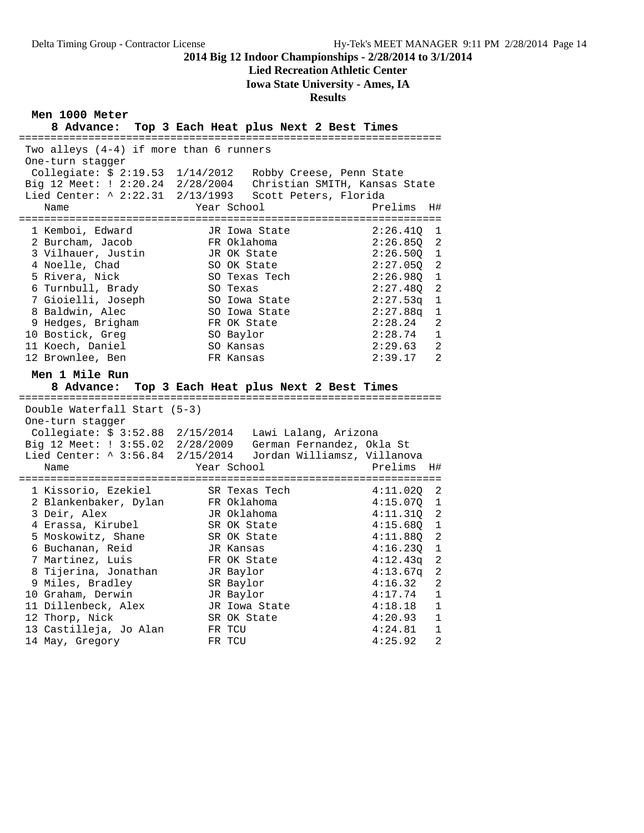## **Lied Recreation Athletic Center**

**Iowa State University - Ames, IA**

## **Results**

## **Men 1000 Meter**

|                                                             | 8 Advance: Top 3 Each Heat plus Next 2 Best Times                                                                                      |                            |  |  |  |  |  |
|-------------------------------------------------------------|----------------------------------------------------------------------------------------------------------------------------------------|----------------------------|--|--|--|--|--|
| Two alleys (4-4) if more than 6 runners<br>One-turn stagger |                                                                                                                                        |                            |  |  |  |  |  |
|                                                             | Collegiate: $$2:19.53$ $1/14/2012$ Robby Creese, Penn State                                                                            |                            |  |  |  |  |  |
|                                                             | Big 12 Meet: ! 2:20.24 2/28/2004 Christian SMITH, Kansas State<br>Lied Center: ^ 2:22.31 2/13/1993 Scott Peters, Florida               |                            |  |  |  |  |  |
|                                                             |                                                                                                                                        |                            |  |  |  |  |  |
| Name                                                        | Year School                                                                                                                            | Prelims<br>H#              |  |  |  |  |  |
| 1 Kemboi, Edward                                            | JR Iowa State                                                                                                                          | 2:26.410<br>1              |  |  |  |  |  |
| 2 Burcham, Jacob                                            | FR Oklahoma                                                                                                                            | 2<br>2:26.850              |  |  |  |  |  |
| 3 Vilhauer, Justin                                          | JR OK State                                                                                                                            | 2:26.500<br>1              |  |  |  |  |  |
| 4 Noelle, Chad                                              | SO OK State                                                                                                                            | $\overline{2}$<br>2:27.050 |  |  |  |  |  |
| 5 Rivera, Nick                                              | SO Texas Tech                                                                                                                          | 2:26.980<br>1              |  |  |  |  |  |
| 6 Turnbull, Brady                                           | SO Texas                                                                                                                               | 2:27.480<br>2              |  |  |  |  |  |
| 7 Gioielli, Joseph                                          | SO Iowa State                                                                                                                          | $\mathbf 1$<br>2:27.53q    |  |  |  |  |  |
| 8 Baldwin, Alec                                             | SO Iowa State                                                                                                                          | 2:27.88q<br>1              |  |  |  |  |  |
| 9 Hedges, Brigham                                           | FR OK State                                                                                                                            | $\overline{2}$<br>2:28.24  |  |  |  |  |  |
| 10 Bostick, Greq                                            | SO Baylor                                                                                                                              | 2:28.74<br>$\mathbf 1$     |  |  |  |  |  |
| 11 Koech, Daniel                                            | SO Kansas                                                                                                                              | 2<br>2:29.63               |  |  |  |  |  |
| 12 Brownlee, Ben                                            | FR Kansas                                                                                                                              | 2:39.17<br>2               |  |  |  |  |  |
| Men 1 Mile Run                                              |                                                                                                                                        |                            |  |  |  |  |  |
| 8 Advance:                                                  | Top 3 Each Heat plus Next 2 Best Times                                                                                                 |                            |  |  |  |  |  |
| Double Waterfall Start (5-3)                                |                                                                                                                                        |                            |  |  |  |  |  |
| One-turn stagger                                            |                                                                                                                                        |                            |  |  |  |  |  |
|                                                             | Collegiate: \$ 3:52.88 2/15/2014 Lawi Lalang, Arizona                                                                                  |                            |  |  |  |  |  |
|                                                             |                                                                                                                                        |                            |  |  |  |  |  |
|                                                             | Big 12 Meet: $1 \cdot 3:55.02$ $2/28/2009$ German Fernandez, Okla St<br>Lied Center: ^ 3:56.84 $2/15/2014$ Jordan Williamsz, Villanova |                            |  |  |  |  |  |
| Name                                                        | Year School                                                                                                                            | Prelims<br>H#              |  |  |  |  |  |
|                                                             |                                                                                                                                        |                            |  |  |  |  |  |
| 1 Kissorio, Ezekiel                                         | SR Texas Tech                                                                                                                          | 4:11.02Q<br>2              |  |  |  |  |  |
| 2 Blankenbaker, Dylan                                       | FR Oklahoma                                                                                                                            | 4:15.070<br>1              |  |  |  |  |  |
| 3 Deir, Alex                                                | JR Oklahoma                                                                                                                            | 2<br>4:11.310<br>1         |  |  |  |  |  |
| 4 Erassa, Kirubel<br>5 Moskowitz, Shane                     | SR OK State<br>SR OK State                                                                                                             | 4:15.68Q<br>2<br>4:11.880  |  |  |  |  |  |
| 6 Buchanan, Reid                                            | JR Kansas                                                                                                                              | 4:16.230<br>1              |  |  |  |  |  |
| 7 Martinez, Luis                                            | FR OK State                                                                                                                            | 2<br>4:12.43q              |  |  |  |  |  |
| 8 Tijerina, Jonathan                                        | JR Baylor                                                                                                                              | 2<br>4:13.67q              |  |  |  |  |  |
|                                                             |                                                                                                                                        |                            |  |  |  |  |  |
|                                                             | SR Baylor                                                                                                                              | $\overline{2}$<br>4:16.32  |  |  |  |  |  |
| 9 Miles, Bradley<br>10 Graham, Derwin                       | JR Baylor                                                                                                                              | $\mathbf 1$<br>4:17.74     |  |  |  |  |  |
| 11 Dillenbeck, Alex                                         | JR Iowa State                                                                                                                          | $\mathbf{1}$<br>4:18.18    |  |  |  |  |  |
| 12 Thorp, Nick                                              | SR OK State                                                                                                                            | $\mathbf 1$<br>4:20.93     |  |  |  |  |  |
| 13 Castilleja, Jo Alan                                      | FR TCU                                                                                                                                 | $\mathbf{1}$<br>4:24.81    |  |  |  |  |  |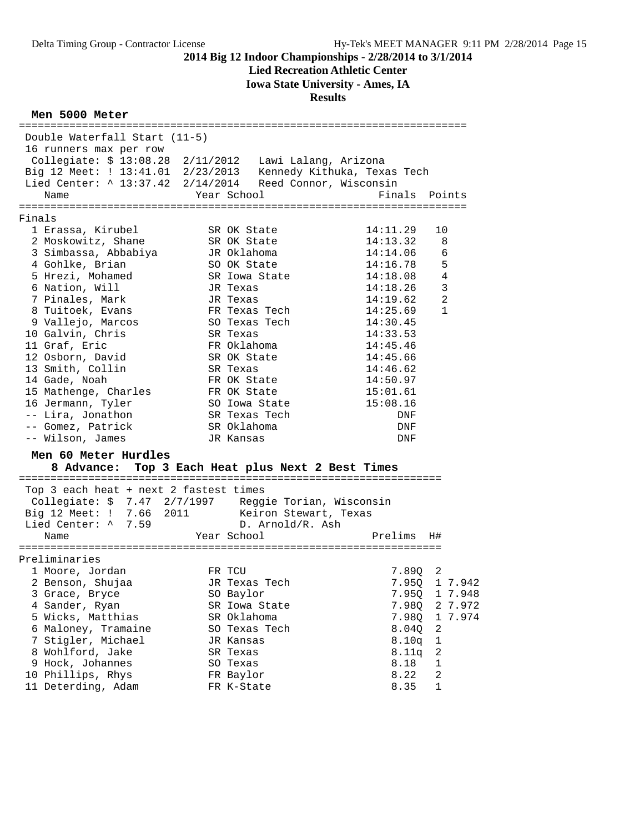# **Lied Recreation Athletic Center**

**Iowa State University - Ames, IA**

## **Results**

## **Men 5000 Meter**

| Double Waterfall Start (11-5)                                                                                               |                                                   |                            |
|-----------------------------------------------------------------------------------------------------------------------------|---------------------------------------------------|----------------------------|
| 16 runners max per row                                                                                                      |                                                   |                            |
| Collegiate: \$ 13:08.28 2/11/2012 Lawi Lalang, Arizona                                                                      |                                                   |                            |
|                                                                                                                             |                                                   |                            |
| Big 12 Meet: $: 13:41.01$ 2/23/2013 Kennedy Kithuka, Texas Tech<br>Lied Center: ^ 13:37.42 2/14/2014 Reed Connor, Wisconsin |                                                   |                            |
| Name                                                                                                                        | Year School                                       | Finals Points              |
|                                                                                                                             |                                                   |                            |
| Finals                                                                                                                      |                                                   |                            |
| 1 Erassa, Kirubel                                                                                                           | SR OK State                                       | 14:11.29<br>10             |
| 2 Moskowitz, Shane                                                                                                          | SR OK State                                       | 14:13.32<br>8              |
|                                                                                                                             | JR Oklahoma                                       | 14:14.06<br>6              |
| a<br>3 Simbassa, Abbabiya<br>4 Gohlke, Brian                                                                                |                                                   | 5<br>14:16.78              |
| 5 Hrezi, Mohamed                                                                                                            | SO OK State                                       | 4                          |
|                                                                                                                             | SR Iowa State                                     | 14:18.08                   |
| 6 Nation, Will                                                                                                              | JR Texas                                          | $\overline{3}$<br>14:18.26 |
| 7 Pinales, Mark                                                                                                             | JR Texas                                          | $\overline{a}$<br>14:19.62 |
| 8 Tuitoek, Evans                                                                                                            | FR Texas Tech                                     | $\mathbf{1}$<br>14:25.69   |
| 9 Vallejo, Marcos<br>2 Calvin Chris                                                                                         | SO Texas Tech                                     | 14:30.45                   |
| 10 Galvin, Chris                                                                                                            | SR Texas                                          | 14:33.53                   |
| 11 Graf, Eric                                                                                                               | FR Oklahoma                                       | 14:45.46                   |
| 12 Osborn, David                                                                                                            | SR OK State                                       | 14:45.66                   |
| 13 Smith, Collin                                                                                                            | SR Texas                                          | 14:46.62                   |
| 14 Gade, Noah                                                                                                               | FR OK State                                       | 14:50.97                   |
| 15 Mathenge, Charles<br>16 Jermann. Tvler                                                                                   | FR OK State                                       | 15:01.61                   |
| 16 Jermann, Tyler                                                                                                           | SO Iowa State                                     | 15:08.16                   |
| -- Lira, Jonathon                                                                                                           | SR Texas Tech                                     | DNF                        |
| -- Gomez, Patrick                                                                                                           | SR Oklahoma                                       | DNF                        |
| -- Wilson, James                                                                                                            | JR Kansas                                         | DNF                        |
| Men 60 Meter Hurdles                                                                                                        |                                                   |                            |
|                                                                                                                             | 8 Advance: Top 3 Each Heat plus Next 2 Best Times |                            |
|                                                                                                                             |                                                   |                            |
| Top 3 each heat + next 2 fastest times                                                                                      |                                                   |                            |
| Collegiate: \$ 7.47 2/7/1997 Reggie Torian, Wisconsin                                                                       |                                                   |                            |
| Big 12 Meet: ! 7.66 2011 Keiron Stewart, Texas                                                                              |                                                   |                            |
| Lied Center: ^ 7.59                                                                                                         |                                                   |                            |
| Name                                                                                                                        | D. Arnold/k. Asıl<br>Year School                  | Prelims H#                 |
|                                                                                                                             |                                                   |                            |
| Preliminaries                                                                                                               |                                                   |                            |
| 1 Moore, Jordan                                                                                                             | FR TCU                                            | 7.890<br>2                 |
| 2 Benson, Shujaa                                                                                                            | JR Texas Tech                                     | 7.950 1 7.942              |
| 3 Grace, Bryce                                                                                                              | SO Baylor                                         | 7.95Q 1 7.948              |
| 4 Sander, Ryan                                                                                                              | SR Iowa State                                     | 7.98Q<br>2 7.972           |
| 5 Wicks, Matthias                                                                                                           | SR Oklahoma                                       | 7.98Q<br>1 7.974           |
| 6 Maloney, Tramaine                                                                                                         | SO Texas Tech                                     | 8.040<br>2                 |
| 7 Stigler, Michael                                                                                                          | JR Kansas                                         | 8.10q<br>1                 |
| 8 Wohlford, Jake                                                                                                            | SR Texas                                          | 2<br>8.11q                 |
| 9 Hock, Johannes                                                                                                            | SO Texas                                          | 8.18<br>1                  |
| 10 Phillips, Rhys                                                                                                           | FR Baylor                                         | 8.22<br>2                  |
| 11 Deterding, Adam                                                                                                          | FR K-State                                        | 8.35<br>$\mathbf 1$        |
|                                                                                                                             |                                                   |                            |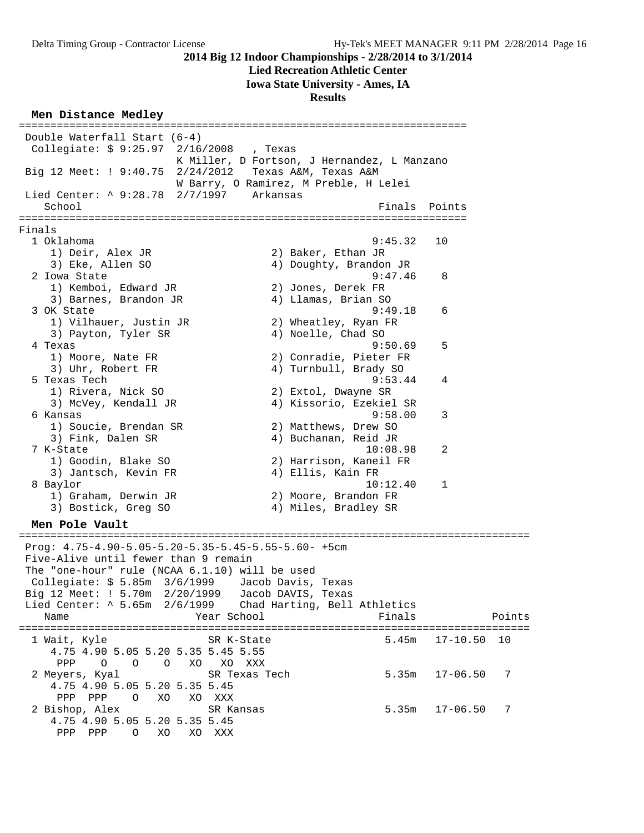PPP PPP O XO XO XXX

#### **2014 Big 12 Indoor Championships - 2/28/2014 to 3/1/2014**

## **Lied Recreation Athletic Center**

#### **Iowa State University - Ames, IA**

**Results**

#### **Men Distance Medley**

======================================================================= Double Waterfall Start (6-4) Collegiate: \$ 9:25.97 2/16/2008 , Texas K Miller, D Fortson, J Hernandez, L Manzano Big 12 Meet: ! 9:40.75 2/24/2012 Texas A&M, Texas A&M W Barry, O Ramirez, M Preble, H Lelei Lied Center: ^ 9:28.78 2/7/1997 Arkansas School **Finals** Points ======================================================================= Finals 1 Oklahoma 9:45.32 10 1) Deir, Alex JR 2) Baker, Ethan JR<br>3) Eke, Allen SO 3) 4) Doughty, Brandor 4) Doughty, Brandon JR<br>9:47.46 2 Iowa State 9:47.46 8 1) Kemboi, Edward JR 2) Jones, Derek FR 3) Barnes, Brandon JR 4) Llamas, Brian SO 3 OK State 9:49.18 6 1) Vilhauer, Justin JR 2) Wheatley, Ryan FR 3) Payton, Tyler SR 4) Noelle, Chad SO 4 Texas 9:50.69 5<br>1) Moore, Nate FR 31, Moore, Nate FR 31, Moore, Nate FR 31, Moore, Nate FR 31, Moore, Nate Communications of 1) Moore, Nate FR 2) Conradie, Pieter FR 3) Uhr, Robert FR 4) Turnbull, Brady SO 5 Texas Tech 9:53.44 4 1) Rivera, Nick SO 2) Extol, Dwayne SR 3) McVey, Kendall JR 4) Kissorio, Ezekiel SR 6 Kansas 9:58.00 3 1) Soucie, Brendan SR 2) Matthews, Drew SO 3) Fink, Dalen SR 4) Buchanan, Reid JR 7 K-State 10:08.98 2 1) Goodin, Blake SO 2) Harrison, Kaneil FR 3) Jantsch, Kevin FR 4) Ellis, Kain FR 8 Baylor 10:12.40 1 1) Graham, Derwin JR 2) Moore, Brandon FR 3) Bostick, Greg SO 4) Miles, Bradley SR **Men Pole Vault** ================================================================================= Prog: 4.75-4.90-5.05-5.20-5.35-5.45-5.55-5.60- +5cm Five-Alive until fewer than 9 remain The "one-hour" rule (NCAA 6.1.10) will be used Collegiate: \$ 5.85m 3/6/1999 Jacob Davis, Texas Big 12 Meet: ! 5.70m 2/20/1999 Jacob DAVIS, Texas Lied Center: ^ 5.65m 2/6/1999 Chad Harting, Bell Athletics Name Year School Finals Points ================================================================================= 1 Wait, Kyle SR K-State 5.45m 17-10.50 10 4.75 4.90 5.05 5.20 5.35 5.45 5.55 PPP O O O XO XO XXX 2 Meyers, Kyal SR Texas Tech 5.35m 17-06.50 7 4.75 4.90 5.05 5.20 5.35 5.45 PPP PPP O XO XO XXX 2 Bishop, Alex SR Kansas 5.35m 17-06.50 7 4.75 4.90 5.05 5.20 5.35 5.45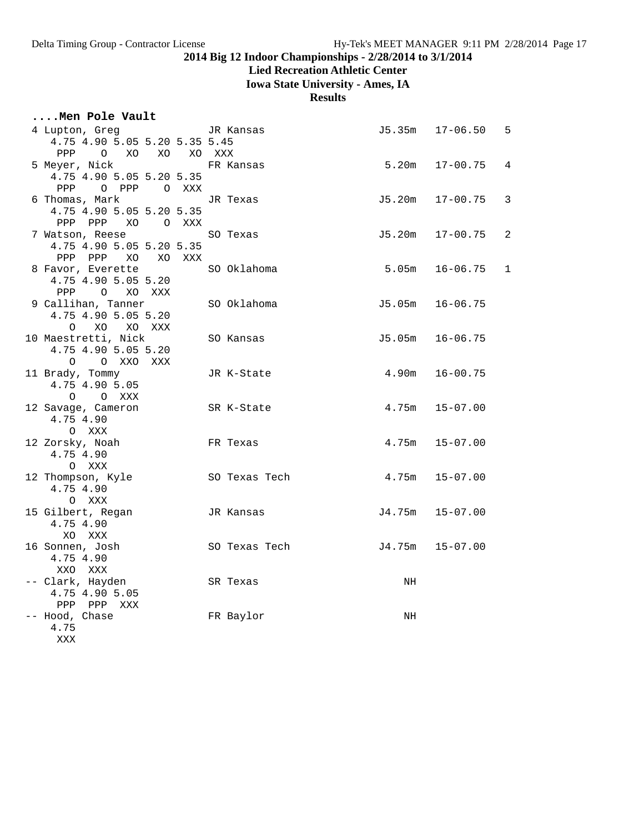# **Lied Recreation Athletic Center**

**Iowa State University - Ames, IA**

**Results**

| Men Pole Vault                         |  |               |    |                     |                |
|----------------------------------------|--|---------------|----|---------------------|----------------|
| 4 Lupton, Greg TR Kansas               |  |               |    | J5.35m 17-06.50     | 5              |
| 4.75 4.90 5.05 5.20 5.35 5.45          |  |               |    |                     |                |
| PPP<br>O XO XO XO XXX                  |  |               |    |                     |                |
| 5 Meyer, Nick                          |  | FR Kansas     |    | $5.20m$ $17-00.75$  | 4              |
| 4.75 4.90 5.05 5.20 5.35               |  |               |    |                     |                |
| PPP<br>O PPP O XXX                     |  |               |    |                     |                |
| 6 Thomas, Mark                         |  | JR Texas      |    | $J5.20m$ $17-00.75$ | 3              |
| 4.75 4.90 5.05 5.20 5.35               |  |               |    |                     |                |
| PPP PPP XO OXXX                        |  |               |    |                     |                |
| 7 Watson, Reese                        |  | SO Texas      |    | $J5.20m$ $17-00.75$ | $\overline{2}$ |
| 4.75 4.90 5.05 5.20 5.35               |  |               |    |                     |                |
| PPP PPP XO XO XXX<br>8 Favor, Everette |  | SO Oklahoma   |    | $5.05m$ $16-06.75$  | 1              |
| 4.75 4.90 5.05 5.20                    |  |               |    |                     |                |
| PPP<br>O XO XXX                        |  |               |    |                     |                |
| 9 Callihan, Tanner                     |  | SO Oklahoma   |    | $J5.05m$ $16-06.75$ |                |
| 4.75 4.90 5.05 5.20                    |  |               |    |                     |                |
| O XO XO XXX                            |  |               |    |                     |                |
| 10 Maestretti, Nick                    |  | SO Kansas     |    | J5.05m 16-06.75     |                |
| 4.75 4.90 5.05 5.20                    |  |               |    |                     |                |
| O O XXO XXX                            |  |               |    |                     |                |
| 11 Brady, Tommy                        |  | JR K-State    |    | $4.90m$ $16-00.75$  |                |
| 4.75 4.90 5.05                         |  |               |    |                     |                |
| O O XXX                                |  |               |    |                     |                |
| 12 Savage, Cameron                     |  | SR K-State    |    | $4.75m$ $15-07.00$  |                |
| 4.75 4.90                              |  |               |    |                     |                |
| O XXX                                  |  |               |    |                     |                |
| 12 Zorsky, Noah<br>4.75 4.90           |  | FR Texas      |    | $4.75m$ $15-07.00$  |                |
| O XXX                                  |  |               |    |                     |                |
| 12 Thompson, Kyle                      |  | SO Texas Tech |    | $4.75m$ $15-07.00$  |                |
| 4.75 4.90                              |  |               |    |                     |                |
| O XXX                                  |  |               |    |                     |                |
| 15 Gilbert, Regan                      |  | JR Kansas     |    | J4.75m 15-07.00     |                |
| 4.75 4.90                              |  |               |    |                     |                |
| XO XXX                                 |  |               |    |                     |                |
| 16 Sonnen, Josh                        |  | SO Texas Tech |    | J4.75m 15-07.00     |                |
| 4.75 4.90                              |  |               |    |                     |                |
| XXO XXX                                |  |               |    |                     |                |
| -- Clark, Hayden                       |  | SR Texas      | NH |                     |                |
| 4.75 4.90 5.05                         |  |               |    |                     |                |
| PPP PPP XXX                            |  |               |    |                     |                |
| -- Hood, Chase<br>4.75                 |  | FR Baylor     | ΝH |                     |                |
|                                        |  |               |    |                     |                |

XXX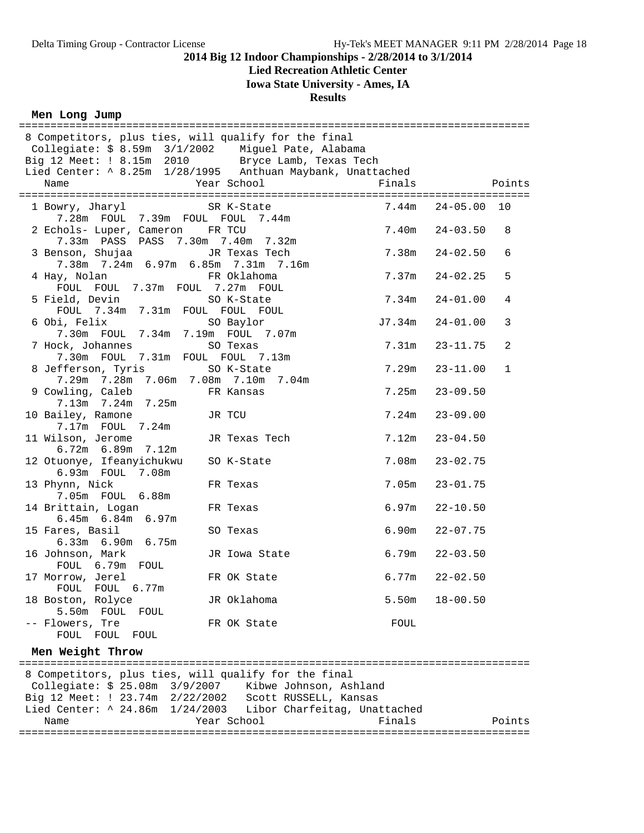## **Lied Recreation Athletic Center**

**Iowa State University - Ames, IA**

**Results**

## **Men Long Jump**

| 8 Competitors, plus ties, will qualify for the final<br>Collegiate: \$ 8.59m 3/1/2002 Miguel Pate, Alabama     |                     |                |                              |                |
|----------------------------------------------------------------------------------------------------------------|---------------------|----------------|------------------------------|----------------|
|                                                                                                                |                     |                |                              |                |
| Big 12 Meet: ! 8.15m 2010 Bryce Lamb, Texas Tech<br>Lied Center: ^ 8.25m 1/28/1995 Anthuan Maybank, Unattached |                     |                |                              |                |
|                                                                                                                |                     |                |                              |                |
| 1 Bowry, Jharyl SR K-State<br>7.28m  FOUL  7.39m  FOUL  FOUL  7.44m                                            |                     |                | $7.44m$ $24-05.00$           | 10             |
| 2 Echols- Luper, Cameron FR TCU<br>7.33m PASS PASS 7.30m 7.40m 7.32m                                           |                     |                | $7.40m$ $24-03.50$           | 8              |
| 3 Benson, Shujaa<br>7.38m 7.24m 6.97m 6.85m 7.31m 7.16m                                                        | JR Texas Tech       | 7.38m          | 24-02.50                     | 6              |
| 4 Hay, Nolan<br>FOUL FOUL 7.37m FOUL 7.27m FOUL                                                                | FR Oklahoma         | 7.37m          | $24 - 02.25$                 | 5              |
| 5 Field, Devin SO K-State<br>FOUL 7.34m 7.31m FOUL FOUL FOUL                                                   |                     | 7.34m          | $24 - 01.00$                 | $\overline{4}$ |
| 6 Obi, Felix<br>7.30m FOUL 7.34m 7.19m FOUL 7.07m                                                              | SO Baylor           |                | $J7.34m$ $24-01.00$          | 3              |
| 7 Hock, Johannes<br>7.30m FOUL 7.31m FOUL FOUL 7.13m                                                           | SO Texas            | 7.31m          | $23 - 11.75$                 | 2              |
| 8 Jefferson, Tyris<br>7.29m 7.28m 7.06m 7.08m 7.10m 7.04m                                                      | SO K-State          | 7.29m          | $23 - 11.00$                 | $\mathbf{1}$   |
| 9 Cowling, Caleb<br>7.13m 7.24m 7.25m<br>10 Bailey, Ramone                                                     | FR Kansas<br>JR TCU | 7.25m<br>7.24m | $23 - 09.50$<br>$23 - 09.00$ |                |
| 7.17m  FOUL  7.24m<br>11 Wilson, Jerome                                                                        | JR Texas Tech       | 7.12m          | $23 - 04.50$                 |                |
| 6.72m 6.89m 7.12m<br>12 Otuonye, Ifeanyichukwu SO K-State                                                      |                     | 7.08m          | $23 - 02.75$                 |                |
| 6.93m FOUL 7.08m<br>13 Phynn, Nick                                                                             | FR Texas            | 7.05m          | $23 - 01.75$                 |                |
| 7.05m FOUL 6.88m<br>14 Brittain, Logan                                                                         | FR Texas            | 6.97m          | $22 - 10.50$                 |                |
| $6.45m$ $6.84m$ $6.97m$<br>15 Fares, Basil                                                                     | SO Texas            | 6.90m          | $22 - 07.75$                 |                |
| 6.33m 6.90m 6.75m<br>16 Johnson, Mark                                                                          | JR Iowa State       | 6.79m          | $22 - 03.50$                 |                |
| FOUL 6.79m FOUL<br>17 Morrow, Jerel                                                                            | FR OK State         | 6.77m          | $22 - 02.50$                 |                |
| FOUL FOUL 6.77m<br>18 Boston, Rolyce                                                                           | JR Oklahoma         | 5.50m          | $18 - 00.50$                 |                |
| 5.50m FOUL FOUL<br>-- Flowers, Tre                                                                             | FR OK State         | FOUL           |                              |                |
| FOUL FOUL<br>FOUL<br>Men Weight Throw                                                                          |                     |                |                              |                |
|                                                                                                                |                     |                |                              |                |
| 8 Competitors, plus ties, will qualify for the final<br>Collegiate: \$ 25.08m 3/9/2007 Kibwe Johnson, Ashland  |                     |                |                              |                |
| Big 12 Meet: ! 23.74m 2/22/2002 Scott RUSSELL, Kansas                                                          |                     |                |                              |                |
| Lied Center: ^ 24.86m 1/24/2003 Libor Charfeitag, Unattached                                                   |                     |                |                              |                |
| Name                                                                                                           | Year School         | Finals         |                              | Points         |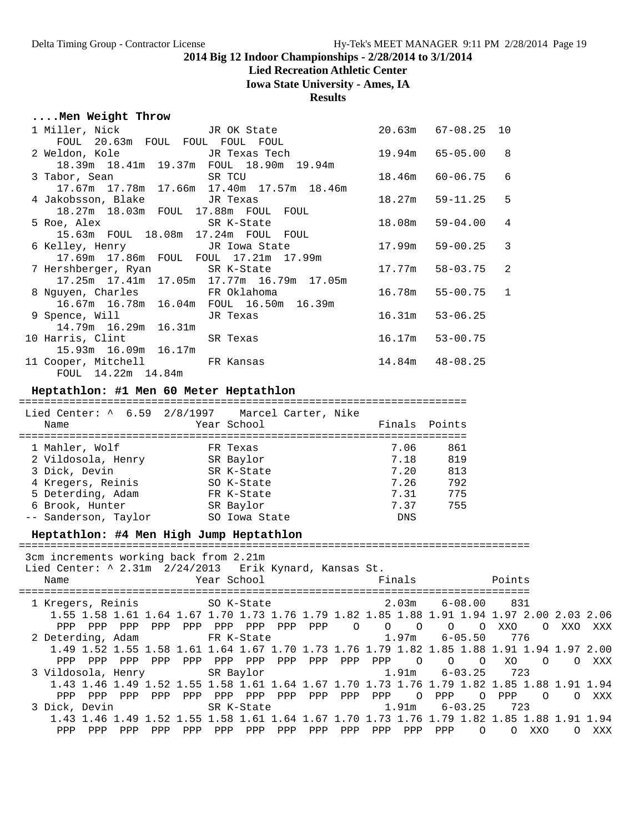#### **Lied Recreation Athletic Center**

**Iowa State University - Ames, IA**

#### **Results**

#### **....Men Weight Throw**

|                                                | 1 Miller, Nick                      JR OK State                            20.63m   67-08.25  10 |                     |                     |   |
|------------------------------------------------|--------------------------------------------------------------------------------------------------|---------------------|---------------------|---|
| FOUL 20.63m FOUL FOUL FOUL FOUL                |                                                                                                  |                     |                     |   |
|                                                | 2 Weldon, Kole           JR Texas Tech         19.94m   65-05.00   8                             |                     |                     |   |
| 18.39m  18.41m  19.37m  FOUL  18.90m  19.94m   |                                                                                                  |                     |                     |   |
| 3 Tabor, Sean SR TCU                           |                                                                                                  |                     | 18.46m 60-06.75 6   |   |
| 17.67m  17.78m  17.66m  17.40m  17.57m  18.46m |                                                                                                  |                     |                     |   |
|                                                |                                                                                                  |                     |                     | 5 |
| 18.27m  18.03m  FOUL  17.88m  FOUL  FOUL       |                                                                                                  |                     |                     |   |
|                                                | 5 Roe, Alex SR K-State 18.08m 59-04.00 4                                                         |                     |                     |   |
| 15.63m FOUL 18.08m 17.24m FOUL FOUL            |                                                                                                  |                     |                     |   |
|                                                | 6 Kelley, Henry TR Iowa State 17.99m 59-00.25 3                                                  |                     |                     |   |
| 17.69m  17.86m  FOUL  FOUL  17.21m  17.99m     |                                                                                                  |                     |                     |   |
|                                                | 7 Hershberger, Ryan SR K-State 58-03.75 2                                                        |                     |                     |   |
| 17.25m  17.41m  17.05m  17.77m  16.79m  17.05m |                                                                                                  |                     |                     |   |
|                                                | 8 Nguyen, Charles FR Oklahoma                                                                    |                     | 16.78m  55-00.75  1 |   |
| 16.67m  16.78m  16.04m  FOUL  16.50m  16.39m   |                                                                                                  |                     |                     |   |
| 9 Spence, Will Gas JR Texas                    |                                                                                                  | $16.31m$ $53-06.25$ |                     |   |
| 14.79m 16.29m 16.31m                           |                                                                                                  |                     |                     |   |
| 10 Harris, Clint SR Texas                      |                                                                                                  |                     | 16.17m 53-00.75     |   |
| 15.93m  16.09m  16.17m                         |                                                                                                  |                     |                     |   |
| 11 Cooper, Mitchell FR Kansas                  | $14.84m$ $48-08.25$                                                                              |                     |                     |   |
| FOUL 14.22m 14.84m                             |                                                                                                  |                     |                     |   |

#### **Heptathlon: #1 Men 60 Meter Heptathlon**

=======================================================================

| Name                 | Lied Center: ^ 6.59 2/8/1997 Marcel Carter, Nike<br>Year School | Finals Points |     |
|----------------------|-----------------------------------------------------------------|---------------|-----|
| 1 Mahler, Wolf       | FR Texas                                                        | 7.06          | 861 |
| 2 Vildosola, Henry   | SR Baylor                                                       | 7.18          | 819 |
| 3 Dick, Devin        | SR K-State                                                      | 7.20          | 813 |
| 4 Kregers, Reinis    | SO K-State                                                      | 7.26          | 792 |
| 5 Deterding, Adam    | FR K-State                                                      | 7.31          | 775 |
| 6 Brook, Hunter      | SR Baylor                                                       | 7.37          | 755 |
| -- Sanderson, Taylor | SO Iowa State                                                   | <b>DNS</b>    |     |

#### **Heptathlon: #4 Men High Jump Heptathlon**

=================================================================================

3cm increments working back from 2.21m

Lied Center: ^ 2.31m 2/24/2013 Erik Kynard, Kansas St.

| Name                     |            | Year School                                                                                                     |                | Finals                    |                      | Points                                  |                 |
|--------------------------|------------|-----------------------------------------------------------------------------------------------------------------|----------------|---------------------------|----------------------|-----------------------------------------|-----------------|
| 1 Kregers, Reinis        |            | SO K-State Solution Solution Solution Solution Solution Solution Solution Solution Solution Solution Solution S |                | 2.03m                     | $6 - 08.00$          | 831                                     |                 |
|                          |            | 1.55 1.58 1.61 1.64 1.67 1.70 1.73 1.76 1.79 1.82 1.85 1.88 1.91 1.94 1.97 2.00 2.03 2.06                       |                |                           |                      |                                         |                 |
| PPP<br>PPP<br>PPP        | PPP<br>PPP | PPP<br>PPP<br>PPP                                                                                               | PPP<br>$\circ$ | $\circ$<br>$\overline{O}$ | $\Omega$<br>$\Omega$ | XXO<br>$\Omega$                         | XXX<br>XXO      |
| 2 Deterding, Adam        |            | FR K-State                                                                                                      |                | 1.97m                     | $6 - 05.50$          | 776                                     |                 |
|                          |            | 1.49 1.52 1.55 1.58 1.61 1.64 1.67 1.70 1.73 1.76 1.79 1.82 1.85 1.88 1.91 1.94 1.97 2.00                       |                |                           |                      |                                         |                 |
| PPP<br>PPP<br>PPP        | PPP<br>PPP | PPP<br>PPP<br>PPP                                                                                               | PPP<br>PPP     | PPP<br>$\Omega$           | $\Omega$<br>$\Omega$ | XO.<br>$\Omega$                         | XXX<br>$\Omega$ |
| 3 Vildosola, Henry       |            | SR Baylor                                                                                                       |                | 1.91m                     | $6 - 03.25$          | 723                                     |                 |
|                          |            | 1.43 1.46 1.49 1.52 1.55 1.58 1.61 1.64 1.67 1.70 1.73 1.76 1.79 1.82 1.85 1.88 1.91 1.94                       |                |                           |                      |                                         |                 |
| <b>PPP</b><br>PPP<br>PPP | PPP<br>PPP | PPP<br>PPP<br>PPP                                                                                               | PPP<br>PPP     | PPP<br>$\Omega$           | PPP<br>$\Omega$      | PPP<br>$\Omega$                         | XXX<br>$\Omega$ |
| 3 Dick, Devin            |            | SR K-State                                                                                                      |                | 1.91m                     | $6 - 03.25$          | 723                                     |                 |
|                          |            | 1.43 1.46 1.49 1.52 1.55 1.58 1.61 1.64 1.67 1.70                                                               |                |                           |                      | 1.73 1.76 1.79 1.82 1.85 1.88 1.91 1.94 |                 |
| PPP<br>PPP<br>PPP        | PPP<br>PPP | PPP<br>PPP<br>PPP                                                                                               | PPP<br>PPP     | PPP<br>PPP                | PPP<br>$\Omega$      | XXO                                     | XXX<br>∩        |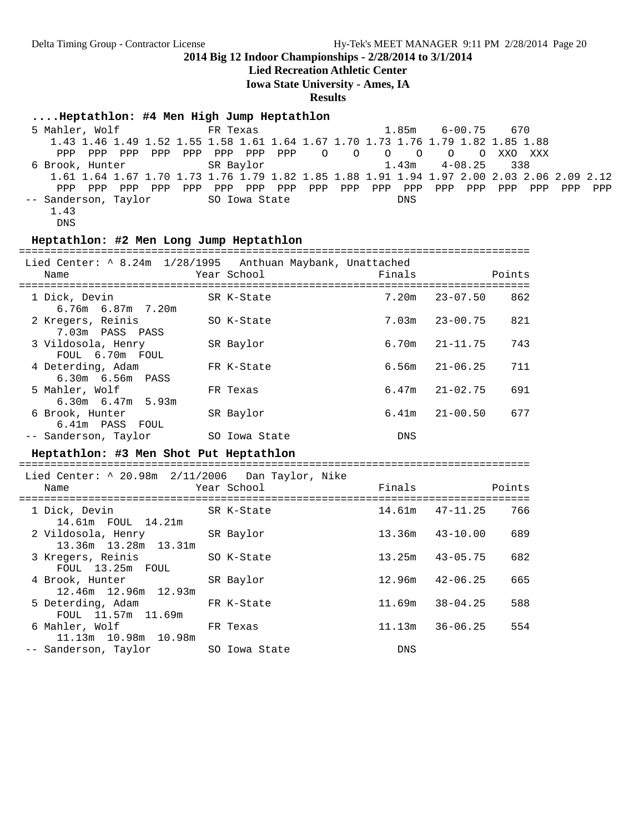**Lied Recreation Athletic Center**

**Iowa State University - Ames, IA**

**Results**

#### **....Heptathlon: #4 Men High Jump Heptathlon**

 5 Mahler, Wolf FR Texas 1.85m 6-00.75 670 1.43 1.46 1.49 1.52 1.55 1.58 1.61 1.64 1.67 1.70 1.73 1.76 1.79 1.82 1.85 1.88 PPP PPP PPP PPP PPP PPP PPP PPP O O O O O O XXO XXX 6 Brook, Hunter SR Baylor 1.43m 4-08.25 338 1.61 1.64 1.67 1.70 1.73 1.76 1.79 1.82 1.85 1.88 1.91 1.94 1.97 2.00 2.03 2.06 2.09 2.12 PPP PPP PPP PPP PPP PPP PPP PPP PPP PPP PPP PPP PPP PPP PPP PPP PPP PPP -- Sanderson, Taylor SO Iowa State DNS 1.43 DNS

#### **Heptathlon: #2 Men Long Jump Heptathlon**

================================================================================= Lied Center: ^ 8.24m 1/28/1995 Anthuan Maybank, Unattached Name Year School Finals Points ================================================================================= 1 Dick, Devin SR K-State 7.20m 23-07.50 862 6.76m 6.87m 7.20m 2 Kregers, Reinis SO K-State 7.03m 23-00.75 821 7.03m PASS PASS<br>ildosola, Henry 3 Vildosola, Henry SR Baylor 6.70m 21-11.75 743 FOUL 6.70m FOUL 4 Deterding, Adam FR K-State 6.56m 21-06.25 711 6.30m 6.56m PASS FR Texas 6.47m 21-02.75 691 6.30m 6.47m 5.93m 6 Brook, Hunter SR Baylor 6.41m 21-00.50 677 6.41m PASS FOUL -- Sanderson, Taylor SO Iowa State DNS

#### **Heptathlon: #3 Men Shot Put Heptathlon**

================================================================================= Lied Center: ^ 20.98m 2/11/2006 Dan Taylor, Nike Name The Year School The Points Points Points ================================================================================= 1 Dick, Devin SR K-State 14.61m 47-11.25 766 14.61m FOUL 14.21m 2 Vildosola, Henry SR Baylor 13.36m 43-10.00 689 13.36m 13.28m 13.31m 3 Kregers, Reinis SO K-State 13.25m 43-05.75 682 FOUL 13.25m FOUL<br>4 Brook, Hunter SR Baylor 12.96m 42-06.25 665 12.46m 12.96m 12.93m 5 Deterding, Adam FR K-State 11.69m 38-04.25 588 FOUL 11.57m 11.69m<br>6 Mahler, Wolf FR Texas 11.13m 36-06.25 554 11.13m 10.98m 10.98m -- Sanderson, Taylor SO Iowa State DNS